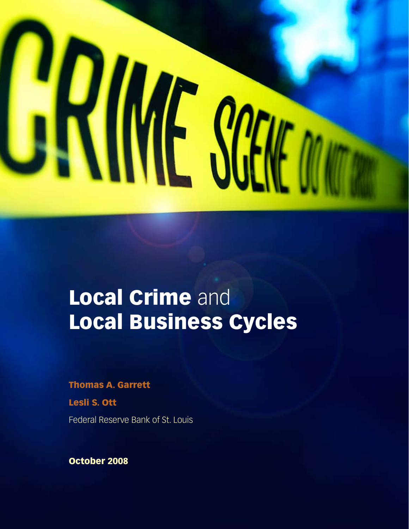

# Local **Crime** and Local Business Cycles

## Thomas A. Garrett

Lesli S. Ott

Federal Reserve Bank of St. Louis

October 2008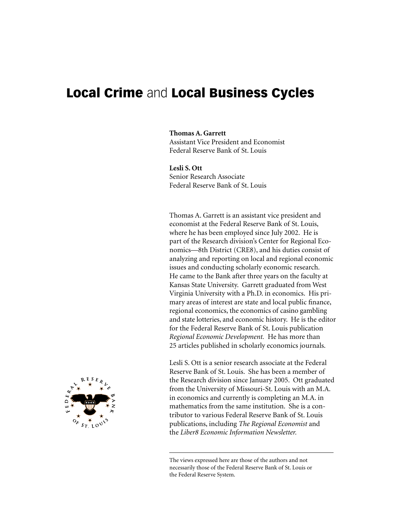## Local Crime and Local Business Cycles

#### **Thomas A. Garrett**

Assistant Vice President and Economist Federal Reserve Bank of St. Louis

#### **Lesli S. Ott**

Senior Research Associate Federal Reserve Bank of St. Louis

Thomas A. Garrett is an assistant vice president and economist at the Federal Reserve Bank of St. Louis, where he has been employed since July 2002. He is part of the Research division's Center for Regional Economics—8th District (CRE8), and his duties consist of analyzing and reporting on local and regional economic issues and conducting scholarly economic research. He came to the Bank after three years on the faculty at Kansas State University. Garrett graduated from West Virginia University with a Ph.D. in economics. His primary areas of interest are state and local public finance, regional economics, the economics of casino gambling and state lotteries, and economic history. He is the editor for the Federal Reserve Bank of St. Louis publication *Regional Economic Development.* He has more than 25 articles published in scholarly economics journals.

Lesli S. Ott is a senior research associate at the Federal Reserve Bank of St. Louis. She has been a member of the Research division since January 2005. Ott graduated from the University of Missouri-St. Louis with an M.A. in economics and currently is completing an M.A. in mathematics from the same institution. She is a contributor to various Federal Reserve Bank of St. Louis publications, including *The Regional Economist* and the *Liber8 Economic Information Newsletter.*

The views expressed here are those of the authors and not necessarily those of the Federal Reserve Bank of St. Louis or the Federal Reserve System.

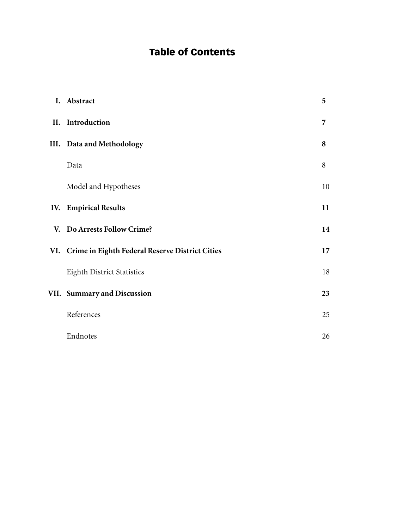## Table of Contents

| I. Abstract                                         | 5  |
|-----------------------------------------------------|----|
| II. Introduction                                    | 7  |
| III. Data and Methodology                           | 8  |
| Data                                                | 8  |
| Model and Hypotheses                                | 10 |
| <b>IV.</b> Empirical Results                        | 11 |
| V. Do Arrests Follow Crime?                         | 14 |
| VI. Crime in Eighth Federal Reserve District Cities | 17 |
| <b>Eighth District Statistics</b>                   | 18 |
| VII. Summary and Discussion                         | 23 |
| References                                          | 25 |
| Endnotes                                            | 26 |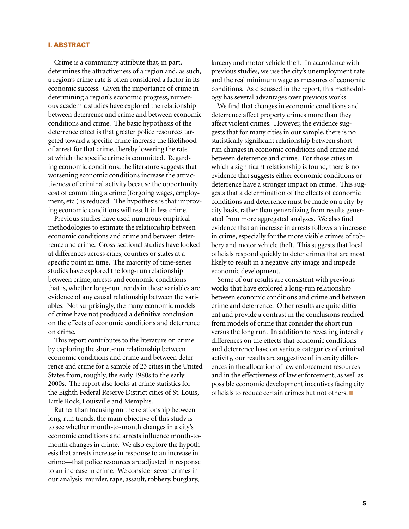#### I. Abstract

Crime is a community attribute that, in part, determines the attractiveness of a region and, as such, a region's crime rate is often considered a factor in its economic success. Given the importance of crime in determining a region's economic progress, numerous academic studies have explored the relationship between deterrence and crime and between economic conditions and crime. The basic hypothesis of the deterrence effect is that greater police resources targeted toward a specific crime increase the likelihood of arrest for that crime, thereby lowering the rate at which the specific crime is committed. Regarding economic conditions, the literature suggests that worsening economic conditions increase the attractiveness of criminal activity because the opportunity cost of committing a crime (forgoing wages, employment, etc.) is reduced. The hypothesis is that improving economic conditions will result in less crime.

Previous studies have used numerous empirical methodologies to estimate the relationship between economic conditions and crime and between deterrence and crime. Cross-sectional studies have looked at differences across cities, counties or states at a specific point in time. The majority of time-series studies have explored the long-run relationship between crime, arrests and economic conditions that is, whether long-run trends in these variables are evidence of any causal relationship between the variables. Not surprisingly, the many economic models of crime have not produced a definitive conclusion on the effects of economic conditions and deterrence on crime.

This report contributes to the literature on crime by exploring the short-run relationship between economic conditions and crime and between deterrence and crime for a sample of 23 cities in the United States from, roughly, the early 1980s to the early 2000s. The report also looks at crime statistics for the Eighth Federal Reserve District cities of St. Louis, Little Rock, Louisville and Memphis.

Rather than focusing on the relationship between long-run trends, the main objective of this study is to see whether month-to-month changes in a city's economic conditions and arrests influence month-tomonth changes in crime. We also explore the hypothesis that arrests increase in response to an increase in crime—that police resources are adjusted in response to an increase in crime. We consider seven crimes in our analysis: murder, rape, assault, robbery, burglary,

larceny and motor vehicle theft. In accordance with previous studies, we use the city's unemployment rate and the real minimum wage as measures of economic conditions. As discussed in the report, this methodology has several advantages over previous works.

We find that changes in economic conditions and deterrence affect property crimes more than they affect violent crimes. However, the evidence suggests that for many cities in our sample, there is no statistically significant relationship between shortrun changes in economic conditions and crime and between deterrence and crime. For those cities in which a significant relationship is found, there is no evidence that suggests either economic conditions or deterrence have a stronger impact on crime. This suggests that a determination of the effects of economic conditions and deterrence must be made on a city-bycity basis, rather than generalizing from results generated from more aggregated analyses. We also find evidence that an increase in arrests follows an increase in crime, especially for the more visible crimes of robbery and motor vehicle theft. This suggests that local officials respond quickly to deter crimes that are most likely to result in a negative city image and impede economic development.

Some of our results are consistent with previous works that have explored a long-run relationship between economic conditions and crime and between crime and deterrence. Other results are quite different and provide a contrast in the conclusions reached from models of crime that consider the short run versus the long run. In addition to revealing intercity differences on the effects that economic conditions and deterrence have on various categories of criminal activity, our results are suggestive of intercity differences in the allocation of law enforcement resources and in the effectiveness of law enforcement, as well as possible economic development incentives facing city officials to reduce certain crimes but not others.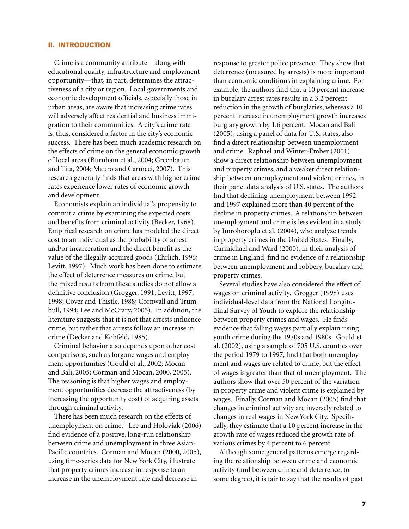#### II. Introduction

Crime is a community attribute—along with educational quality, infrastructure and employment opportunity—that, in part, determines the attractiveness of a city or region. Local governments and economic development officials, especially those in urban areas, are aware that increasing crime rates will adversely affect residential and business immigration to their communities. A city's crime rate is, thus, considered a factor in the city's economic success. There has been much academic research on the effects of crime on the general economic growth of local areas (Burnham et al., 2004; Greenbaum and Tita, 2004; Mauro and Carmeci, 2007). This research generally finds that areas with higher crime rates experience lower rates of economic growth and development.

Economists explain an individual's propensity to commit a crime by examining the expected costs and benefits from criminal activity (Becker, 1968). Empirical research on crime has modeled the direct cost to an individual as the probability of arrest and/or incarceration and the direct benefit as the value of the illegally acquired goods (Ehrlich, 1996; Levitt, 1997). Much work has been done to estimate the effect of deterrence measures on crime, but the mixed results from these studies do not allow a definitive conclusion (Grogger, 1991; Levitt, 1997, 1998; Cover and Thistle, 1988; Cornwall and Trumbull, 1994; Lee and McCrary, 2005). In addition, the literature suggests that it is not that arrests influence crime, but rather that arrests follow an increase in crime (Decker and Kohfeld, 1985).

Criminal behavior also depends upon other cost comparisons, such as forgone wages and employment opportunities (Gould et al., 2002; Mocan and Bali, 2005; Corman and Mocan, 2000, 2005). The reasoning is that higher wages and employment opportunities decrease the attractiveness (by increasing the opportunity cost) of acquiring assets through criminal activity.

There has been much research on the effects of unemployment on crime.<sup>1</sup> Lee and Holoviak (2006) find evidence of a positive, long-run relationship between crime and unemployment in three Asian-Pacific countries. Corman and Mocan (2000, 2005), using time-series data for New York City, illustrate that property crimes increase in response to an increase in the unemployment rate and decrease in

response to greater police presence. They show that deterrence (measured by arrests) is more important than economic conditions in explaining crime. For example, the authors find that a 10 percent increase in burglary arrest rates results in a 3.2 percent reduction in the growth of burglaries, whereas a 10 percent increase in unemployment growth increases burglary growth by 1.6 percent. Mocan and Bali (2005), using a panel of data for U.S. states, also find a direct relationship between unemployment and crime. Raphael and Winter-Ember (2001) show a direct relationship between unemployment and property crimes, and a weaker direct relationship between unemployment and violent crimes, in their panel data analysis of U.S. states. The authors find that declining unemployment between 1992 and 1997 explained more than 40 percent of the decline in property crimes. A relationship between unemployment and crime is less evident in a study by Imrohoroglu et al. (2004), who analyze trends in property crimes in the United States. Finally, Carmichael and Ward (2000), in their analysis of crime in England, find no evidence of a relationship between unemployment and robbery, burglary and property crimes.

Several studies have also considered the effect of wages on criminal activity. Grogger (1998) uses individual-level data from the National Longitudinal Survey of Youth to explore the relationship between property crimes and wages. He finds evidence that falling wages partially explain rising youth crime during the 1970s and 1980s. Gould et al. (2002), using a sample of 705 U.S. counties over the period 1979 to 1997, find that both unemployment and wages are related to crime, but the effect of wages is greater than that of unemployment. The authors show that over 50 percent of the variation in property crime and violent crime is explained by wages. Finally, Corman and Mocan (2005) find that changes in criminal activity are inversely related to changes in real wages in New York City. Specifically, they estimate that a 10 percent increase in the growth rate of wages reduced the growth rate of various crimes by 4 percent to 6 percent.

Although some general patterns emerge regarding the relationship between crime and economic activity (and between crime and deterrence, to some degree), it is fair to say that the results of past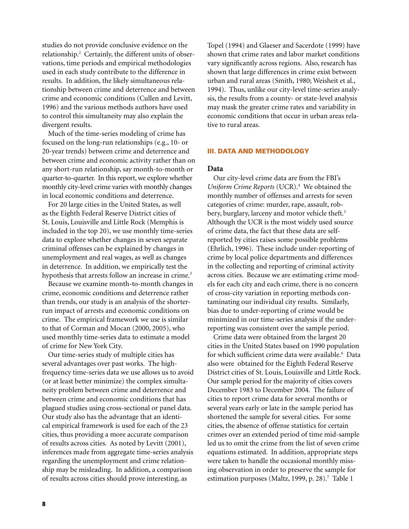studies do not provide conclusive evidence on the relationship.<sup>2</sup> Certainly, the different units of observations, time periods and empirical methodologies used in each study contribute to the difference in results. In addition, the likely simultaneous relationship between crime and deterrence and between crime and economic conditions (Cullen and Levitt, 1996) and the various methods authors have used to control this simultaneity may also explain the divergent results.

Much of the time-series modeling of crime has focused on the long-run relationships (e.g., 10- or 20-year trends) between crime and deterrence and between crime and economic activity rather than on any short-run relationship, say month-to-month or quarter-to-quarter. In this report, we explore whether monthly city-level crime varies with monthly changes in local economic conditions and deterrence.

For 20 large cities in the United States, as well as the Eighth Federal Reserve District cities of St. Louis, Louisville and Little Rock (Memphis is included in the top 20), we use monthly time-series data to explore whether changes in seven separate criminal offenses can be explained by changes in unemployment and real wages, as well as changes in deterrence. In addition, we empirically test the hypothesis that arrests follow an increase in crime.<sup>3</sup>

Because we examine month-to-month changes in crime, economic conditions and deterrence rather than trends, our study is an analysis of the shorterrun impact of arrests and economic conditions on crime. The empirical framework we use is similar to that of Corman and Mocan (2000, 2005), who used monthly time-series data to estimate a model of crime for New York City.

Our time-series study of multiple cities has several advantages over past works. The highfrequency time-series data we use allows us to avoid (or at least better minimize) the complex simultaneity problem between crime and deterrence and between crime and economic conditions that has plagued studies using cross-sectional or panel data. Our study also has the advantage that an identical empirical framework is used for each of the 23 cities, thus providing a more accurate comparison of results across cities. As noted by Levitt (2001), inferences made from aggregate time-series analysis regarding the unemployment and crime relationship may be misleading. In addition, a comparison of results across cities should prove interesting, as

Topel (1994) and Glaeser and Sacerdote (1999) have shown that crime rates and labor market conditions vary significantly across regions. Also, research has shown that large differences in crime exist between urban and rural areas (Smith, 1980; Weisheit et al., 1994). Thus, unlike our city-level time-series analysis, the results from a county- or state-level analysis may mask the greater crime rates and variability in economic conditions that occur in urban areas relative to rural areas.

#### III. Data and Methodology

#### **Data**

Our city-level crime data are from the FBI's Uniform Crime Reports (UCR).<sup>4</sup> We obtained the monthly number of offenses and arrests for seven categories of crime: murder, rape, assault, robbery, burglary, larceny and motor vehicle theft.<sup>5</sup> Although the UCR is the most widely used source of crime data, the fact that these data are selfreported by cities raises some possible problems (Ehrlich, 1996). These include under-reporting of crime by local police departments and differences in the collecting and reporting of criminal activity across cities. Because we are estimating crime models for each city and each crime, there is no concern of cross-city variation in reporting methods contaminating our individual city results. Similarly, bias due to under-reporting of crime would be minimized in our time-series analysis if the underreporting was consistent over the sample period.

Crime data were obtained from the largest 20 cities in the United States based on 1990 population for which sufficient crime data were available.<sup>6</sup> Data also were obtained for the Eighth Federal Reserve District cities of St. Louis, Louisville and Little Rock. Our sample period for the majority of cities covers December 1983 to December 2004. The failure of cities to report crime data for several months or several years early or late in the sample period has shortened the sample for several cities. For some cities, the absence of offense statistics for certain crimes over an extended period of time mid-sample led us to omit the crime from the list of seven crime equations estimated. In addition, appropriate steps were taken to handle the occasional monthly missing observation in order to preserve the sample for estimation purposes (Maltz, 1999, p. 28).<sup>7</sup> Table 1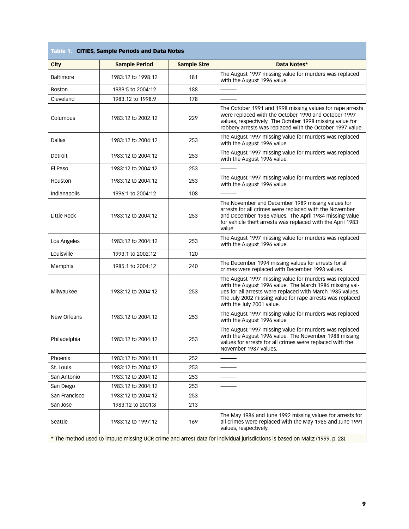| <b>Table 1: CITIES, Sample Periods and Data Notes</b> |                      |                    |                                                                                                                                                                                                                                                                          |  |  |  |  |  |  |  |  |
|-------------------------------------------------------|----------------------|--------------------|--------------------------------------------------------------------------------------------------------------------------------------------------------------------------------------------------------------------------------------------------------------------------|--|--|--|--|--|--|--|--|
| <b>City</b>                                           | <b>Sample Period</b> | <b>Sample Size</b> | Data Notes*                                                                                                                                                                                                                                                              |  |  |  |  |  |  |  |  |
| <b>Baltimore</b>                                      | 1983:12 to 1998:12   | 181                | The August 1997 missing value for murders was replaced<br>with the August 1996 value.                                                                                                                                                                                    |  |  |  |  |  |  |  |  |
| <b>Boston</b>                                         | 1989:5 to 2004:12    | 188                |                                                                                                                                                                                                                                                                          |  |  |  |  |  |  |  |  |
| Cleveland                                             | 1983:12 to 1998:9    | 178                |                                                                                                                                                                                                                                                                          |  |  |  |  |  |  |  |  |
| Columbus                                              | 1983:12 to 2002:12   | 229                | The October 1991 and 1998 missing values for rape arrests<br>were replaced with the October 1990 and October 1997<br>values, respectively. The October 1998 missing value for<br>robbery arrests was replaced with the October 1997 value.                               |  |  |  |  |  |  |  |  |
| Dallas                                                | 1983:12 to 2004:12   | 253                | The August 1997 missing value for murders was replaced<br>with the August 1996 value.                                                                                                                                                                                    |  |  |  |  |  |  |  |  |
| Detroit                                               | 1983:12 to 2004:12   | 253                | The August 1997 missing value for murders was replaced<br>with the August 1996 value.                                                                                                                                                                                    |  |  |  |  |  |  |  |  |
| El Paso                                               | 1983:12 to 2004:12   | 253                |                                                                                                                                                                                                                                                                          |  |  |  |  |  |  |  |  |
| Houston                                               | 1983:12 to 2004:12   | 253                | The August 1997 missing value for murders was replaced<br>with the August 1996 value.                                                                                                                                                                                    |  |  |  |  |  |  |  |  |
| Indianapolis                                          | 1996:1 to 2004:12    | 108                |                                                                                                                                                                                                                                                                          |  |  |  |  |  |  |  |  |
| Little Rock                                           | 1983:12 to 2004:12   | 253                | The November and December 1989 missing values for<br>arrests for all crimes were replaced with the November<br>and December 1988 values. The April 1984 missing value<br>for vehicle theft arrests was replaced with the April 1983<br>value.                            |  |  |  |  |  |  |  |  |
| Los Angeles                                           | 1983:12 to 2004:12   | 253                | The August 1997 missing value for murders was replaced<br>with the August 1996 value.                                                                                                                                                                                    |  |  |  |  |  |  |  |  |
| Louisville                                            | 1993:1 to 2002:12    | 120                |                                                                                                                                                                                                                                                                          |  |  |  |  |  |  |  |  |
| <b>Memphis</b>                                        | 1985:1 to 2004:12    | 240                | The December 1994 missing values for arrests for all<br>crimes were replaced with December 1993 values.                                                                                                                                                                  |  |  |  |  |  |  |  |  |
| Milwaukee                                             | 1983:12 to 2004:12   | 253                | The August 1997 missing value for murders was replaced<br>with the August 1996 value. The March 1986 missing val-<br>ues for all arrests were replaced with March 1985 values.<br>The July 2002 missing value for rape arrests was replaced<br>with the July 2001 value. |  |  |  |  |  |  |  |  |
| New Orleans                                           | 1983:12 to 2004:12   | 253                | The August 1997 missing value for murders was replaced<br>with the August 1996 value.                                                                                                                                                                                    |  |  |  |  |  |  |  |  |
| Philadelphia                                          | 1983:12 to 2004:12   | 253                | The August 1997 missing value for murders was replaced<br>with the August 1996 value. The November 1988 missing<br>values for arrests for all crimes were replaced with the<br>November 1987 values.                                                                     |  |  |  |  |  |  |  |  |
| Phoenix                                               | 1983:12 to 2004:11   | 252                |                                                                                                                                                                                                                                                                          |  |  |  |  |  |  |  |  |
| St. Louis                                             | 1983:12 to 2004:12   | 253                |                                                                                                                                                                                                                                                                          |  |  |  |  |  |  |  |  |
| San Antonio                                           | 1983:12 to 2004:12   | 253                |                                                                                                                                                                                                                                                                          |  |  |  |  |  |  |  |  |
| San Diego                                             | 1983:12 to 2004:12   | 253                |                                                                                                                                                                                                                                                                          |  |  |  |  |  |  |  |  |
| San Francisco                                         | 1983:12 to 2004:12   | 253                |                                                                                                                                                                                                                                                                          |  |  |  |  |  |  |  |  |
| San Jose                                              | 1983:12 to 2001:8    | 213                |                                                                                                                                                                                                                                                                          |  |  |  |  |  |  |  |  |
| Seattle                                               | 1983:12 to 1997:12   | 169                | The May 1986 and June 1992 missing values for arrests for<br>all crimes were replaced with the May 1985 and June 1991<br>values, respectively.                                                                                                                           |  |  |  |  |  |  |  |  |
|                                                       |                      |                    | * The method used to impute missing UCR crime and arrest data for individual jurisdictions is based on Maltz (1999, p. 28).                                                                                                                                              |  |  |  |  |  |  |  |  |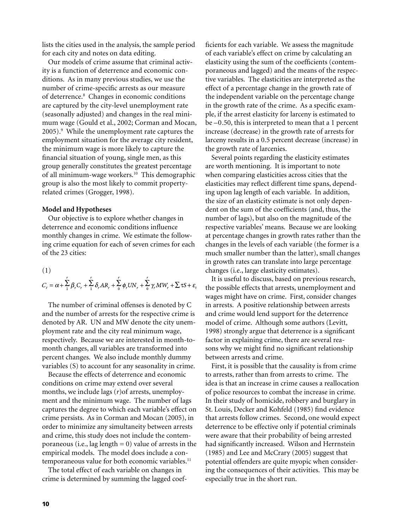lists the cities used in the analysis, the sample period for each city and notes on data editing.

Our models of crime assume that criminal activity is a function of deterrence and economic conditions. As in many previous studies, we use the number of crime-specific arrests as our measure of deterrence.<sup>8</sup> Changes in economic conditions are captured by the city-level unemployment rate (seasonally adjusted) and changes in the real minimum wage (Gould et al., 2002; Corman and Mocan, 2005).9 While the unemployment rate captures the employment situation for the average city resident, the minimum wage is more likely to capture the financial situation of young, single men, as this group generally constitutes the greatest percentage of all minimum-wage workers.10 This demographic group is also the most likely to commit propertyrelated crimes (Grogger, 1998).

#### **Model and Hypotheses**

Our objective is to explore whether changes in deterrence and economic conditions influence monthly changes in crime. We estimate the following crime equation for each of seven crimes for each of the 23 cities:

(1)

$$
C_{t} = \alpha + \sum_{1}^{r} \beta_{r} C_{r} + \sum_{1}^{r} \delta_{r} AR_{r} + \sum_{0}^{r} \phi_{r} UN_{r} + \sum_{0}^{r} \gamma_{r} MW_{r} + \sum \tau S + \varepsilon_{t}
$$

The number of criminal offenses is denoted by C and the number of arrests for the respective crime is denoted by AR. UN and MW denote the city unemployment rate and the city real minimum wage, respectively. Because we are interested in month-tomonth changes, all variables are transformed into percent changes. We also include monthly dummy variables (S) to account for any seasonality in crime.

Because the effects of deterrence and economic conditions on crime may extend over several months, we include lags (*r*)of arrests, unemployment and the minimum wage. The number of lags captures the degree to which each variable's effect on crime persists. As in Corman and Mocan (2005), in order to minimize any simultaneity between arrests and crime, this study does not include the contemporaneous (i.e., lag length  $= 0$ ) value of arrests in the empirical models. The model does include a contemporaneous value for both economic variables.<sup>11</sup>

The total effect of each variable on changes in crime is determined by summing the lagged coef-

ficients for each variable. We assess the magnitude of each variable's effect on crime by calculating an elasticity using the sum of the coefficients (contemporaneous and lagged) and the means of the respective variables. The elasticities are interpreted as the effect of a percentage change in the growth rate of the independent variable on the percentage change in the growth rate of the crime. As a specific example, if the arrest elasticity for larceny is estimated to be –0.50, this is interpreted to mean that a 1 percent increase (decrease) in the growth rate of arrests for larceny results in a 0.5 percent decrease (increase) in the growth rate of larcenies.

Several points regarding the elasticity estimates are worth mentioning. It is important to note when comparing elasticities across cities that the elasticities may reflect different time spans, depending upon lag length of each variable. In addition, the size of an elasticity estimate is not only dependent on the sum of the coefficients (and, thus, the number of lags), but also on the magnitude of the respective variables' means. Because we are looking at percentage changes in growth rates rather than the changes in the levels of each variable (the former is a much smaller number than the latter), small changes in growth rates can translate into large percentage changes (i.e., large elasticity estimates).

It is useful to discuss, based on previous research, the possible effects that arrests, unemployment and wages might have on crime. First, consider changes in arrests. A positive relationship between arrests and crime would lend support for the deterrence model of crime. Although some authors (Levitt, 1998) strongly argue that deterrence is a significant factor in explaining crime, there are several reasons why we might find no significant relationship between arrests and crime.

First, it is possible that the causality is from crime to arrests, rather than from arrests to crime. The idea is that an increase in crime causes a reallocation of police resources to combat the increase in crime. In their study of homicide, robbery and burglary in St. Louis, Decker and Kohfeld (1985) find evidence that arrests follow crimes. Second, one would expect deterrence to be effective only if potential criminals were aware that their probability of being arrested had significantly increased. Wilson and Herrnstein (1985) and Lee and McCrary (2005) suggest that potential offenders are quite myopic when considering the consequences of their activities. This may be especially true in the short run.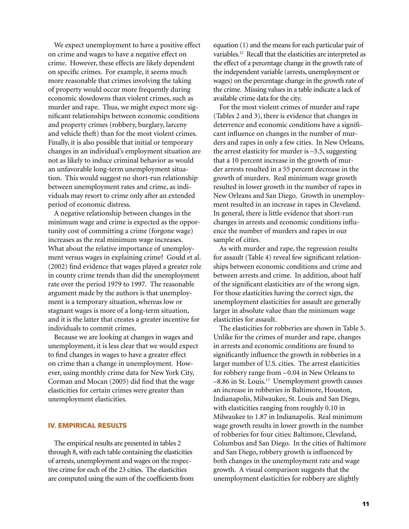We expect unemployment to have a positive effect on crime and wages to have a negative effect on crime. However, these effects are likely dependent on specific crimes. For example, it seems much more reasonable that crimes involving the taking of property would occur more frequently during economic slowdowns than violent crimes, such as murder and rape. Thus, we might expect more significant relationships between economic conditions and property crimes (robbery, burglary, larceny and vehicle theft) than for the most violent crimes. Finally, it is also possible that initial or temporary changes in an individual's employment situation are not as likely to induce criminal behavior as would an unfavorable long-term unemployment situation. This would suggest no short-run relationship between unemployment rates and crime, as individuals may resort to crime only after an extended period of economic distress.

A negative relationship between changes in the minimum wage and crime is expected as the opportunity cost of committing a crime (forgone wage) increases as the real minimum wage increases. What about the relative importance of unemployment versus wages in explaining crime? Gould et al. (2002) find evidence that wages played a greater role in county crime trends than did the unemployment rate over the period 1979 to 1997. The reasonable argument made by the authors is that unemployment is a temporary situation, whereas low or stagnant wages is more of a long-term situation, and it is the latter that creates a greater incentive for individuals to commit crimes.

Because we are looking at changes in wages and unemployment, it is less clear that we would expect to find changes in wages to have a greater effect on crime than a change in unemployment. However, using monthly crime data for New York City, Corman and Mocan (2005) did find that the wage elasticities for certain crimes were greater than unemployment elasticities.

#### IV. Empirical Results

The empirical results are presented in tables 2 through 8, with each table containing the elasticities of arrests, unemployment and wages on the respective crime for each of the 23 cities. The elasticities are computed using the sum of the coefficients from

equation (1) and the means for each particular pair of variables.12 Recall that the elasticities are interpreted as the effect of a percentage change in the growth rate of the independent variable (arrests, unemployment or wages) on the percentage change in the growth rate of the crime. Missing values in a table indicate a lack of available crime data for the city.

For the most violent crimes of murder and rape (Tables 2 and 3), there is evidence that changes in deterrence and economic conditions have a significant influence on changes in the number of murders and rapes in only a few cities. In New Orleans, the arrest elasticity for murder is –5.5, suggesting that a 10 percent increase in the growth of murder arrests resulted in a 55 percent decrease in the growth of murders. Real minimum wage growth resulted in lower growth in the number of rapes in New Orleans and San Diego. Growth in unemployment resulted in an increase in rapes in Cleveland. In general, there is little evidence that short-run changes in arrests and economic conditions influence the number of murders and rapes in our sample of cities.

As with murder and rape, the regression results for assault (Table 4) reveal few significant relationships between economic conditions and crime and between arrests and crime. In addition, about half of the significant elasticities are of the wrong sign. For those elasticities having the correct sign, the unemployment elasticities for assault are generally larger in absolute value than the minimum wage elasticities for assault.

The elasticities for robberies are shown in Table 5. Unlike for the crimes of murder and rape, changes in arrests and economic conditions are found to significantly influence the growth in robberies in a larger number of U.S. cities. The arrest elasticities for robbery range from  $-0.04$  in New Orleans to –8.86 in St. Louis.13 Unemployment growth causes an increase in robberies in Baltimore, Houston, Indianapolis, Milwaukee, St. Louis and San Diego, with elasticities ranging from roughly 0.10 in Milwaukee to 1.87 in Indianapolis. Real minimum wage growth results in lower growth in the number of robberies for four cities: Baltimore, Cleveland, Columbus and San Diego. In the cities of Baltimore and San Diego, robbery growth is influenced by both changes in the unemployment rate and wage growth. A visual comparison suggests that the unemployment elasticities for robbery are slightly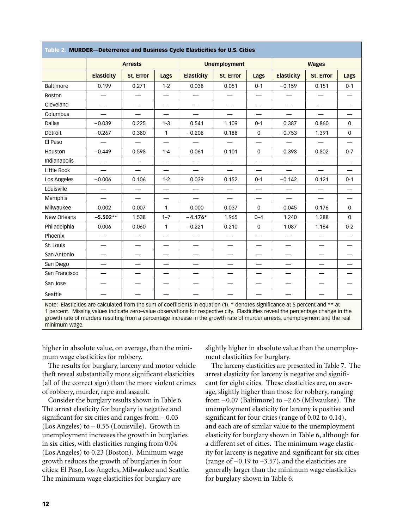| Table 2: MURDER-Deterrence and Business Cycle Elasticities for U.S. Cities |                                  |                                  |                                   |                          |                          |                                  |                                   |                                |                               |  |  |
|----------------------------------------------------------------------------|----------------------------------|----------------------------------|-----------------------------------|--------------------------|--------------------------|----------------------------------|-----------------------------------|--------------------------------|-------------------------------|--|--|
|                                                                            |                                  | <b>Arrests</b>                   |                                   |                          | <b>Unemployment</b>      |                                  |                                   | <b>Wages</b>                   |                               |  |  |
|                                                                            | <b>Elasticity</b>                | <b>St. Error</b>                 | Lags                              | <b>Elasticity</b>        | <b>St. Error</b>         | Lags                             | <b>Elasticity</b>                 | <b>St. Error</b>               | Lags                          |  |  |
| <b>Baltimore</b>                                                           | 0.199                            | 0.271                            | $1 - 2$                           | 0.038                    | 0.051                    | $0 - 1$                          | $-0.159$                          | 0.151                          | $0 - 1$                       |  |  |
| <b>Boston</b>                                                              |                                  |                                  |                                   |                          |                          |                                  |                                   |                                |                               |  |  |
| Cleveland                                                                  |                                  |                                  | $\overbrace{\qquad \qquad }^{}$   |                          |                          | $\qquad \qquad$                  | $\overline{\phantom{m}}$          | $\qquad \qquad$                |                               |  |  |
| Columbus                                                                   |                                  | $\qquad \qquad -$                | $\overbrace{\phantom{123221111}}$ |                          |                          | $\overbrace{\phantom{12322111}}$ | $\overbrace{\qquad \qquad }^{}$   | $\equiv$                       |                               |  |  |
| Dallas                                                                     | $-0.039$                         | 0.225                            | $1 - 3$                           | 0.541                    | 1.109                    | $0 - 1$                          | 0.387                             | 0.860                          | $\Omega$                      |  |  |
| Detroit                                                                    | $-0.267$                         | 0.380                            | $\mathbf{1}$                      | $-0.208$                 | 0.188                    | $\mathbf 0$                      | $-0.753$                          | 1.391                          | $\mathbf 0$                   |  |  |
| El Paso                                                                    | $\overbrace{\phantom{12322111}}$ | $\overbrace{\phantom{12322111}}$ | $\overbrace{\phantom{123221111}}$ |                          |                          |                                  | $\overbrace{\phantom{123221111}}$ | $\overline{\phantom{0}}$       | $\overbrace{\phantom{aaaaa}}$ |  |  |
| Houston                                                                    | $-0.449$                         | 0.598                            | $1 - 4$                           | 0.061                    | 0.101                    | $\mathbf 0$                      | 0.398                             | 0.802                          | $0 - 7$                       |  |  |
| Indianapolis                                                               | $\qquad \qquad -$                | —                                | $\overline{\phantom{0}}$          | —                        | —                        |                                  |                                   | $\overline{\phantom{0}}$       |                               |  |  |
| Little Rock                                                                | $\equiv$                         | $\equiv$                         | $\qquad \qquad$                   | $\equiv$                 | $\overline{\phantom{0}}$ | $\equiv$                         |                                   | $\overline{\phantom{0}}$       |                               |  |  |
| Los Angeles                                                                | $-0.006$                         | 0.106                            | $1 - 2$                           | 0.039                    | 0.152                    | $0 - 1$                          | $-0.142$                          | 0.121                          | $0 - 1$                       |  |  |
| Louisville                                                                 | $\qquad \qquad \longleftarrow$   | $\qquad \qquad$                  | $\hspace{0.05cm}$                 | $\qquad \qquad -$        |                          | $\hspace{0.05cm}$                | $\hspace{0.05cm}$                 | $\qquad \qquad \longleftarrow$ | —                             |  |  |
| Memphis                                                                    |                                  |                                  |                                   |                          |                          |                                  |                                   |                                |                               |  |  |
| Milwaukee                                                                  | 0.002                            | 0.007                            | $\mathbf{1}$                      | 0.000                    | 0.037                    | $\Omega$                         | $-0.045$                          | 0.176                          | $\mathbf 0$                   |  |  |
| New Orleans                                                                | $-5.502**$                       | 1.538                            | $1 - 7$                           | $-4.176*$                | 1.965                    | $0 - 4$                          | 1.240                             | 1.288                          | $\Omega$                      |  |  |
| Philadelphia                                                               | 0.006                            | 0.060                            | $\mathbf{1}$                      | $-0.221$                 | 0.210                    | $\mathbf 0$                      | 1.087                             | 1.164                          | $0 - 2$                       |  |  |
| Phoenix                                                                    | $\overline{\phantom{0}}$         | $\overline{\phantom{0}}$         |                                   | $\overline{\phantom{0}}$ | $\overline{\phantom{0}}$ | $\overline{\phantom{0}}$         | $\overline{\phantom{0}}$          | $\overline{\phantom{0}}$       |                               |  |  |
| St. Louis                                                                  | $\overline{\phantom{0}}$         | $\overline{\phantom{0}}$         |                                   | $\qquad \qquad$          | $\overline{\phantom{0}}$ | $\qquad \qquad$                  |                                   | $\qquad \qquad$                | $\overline{\phantom{0}}$      |  |  |
| San Antonio                                                                |                                  | —                                |                                   | —                        | —                        |                                  | $\overline{\phantom{0}}$          |                                |                               |  |  |
| San Diego                                                                  | $\overline{\phantom{0}}$         | $\overline{\phantom{0}}$         | $\overline{\phantom{0}}$          | $\overline{\phantom{0}}$ |                          | $\overline{\phantom{0}}$         | $\overline{\phantom{m}}$          |                                | $\overline{\phantom{0}}$      |  |  |
| San Francisco                                                              |                                  |                                  |                                   |                          |                          |                                  |                                   |                                |                               |  |  |
| San Jose                                                                   |                                  |                                  |                                   |                          |                          |                                  |                                   |                                |                               |  |  |
| Seattle                                                                    |                                  |                                  |                                   |                          |                          |                                  |                                   |                                |                               |  |  |

Note: Elasticities are calculated from the sum of coefficients in equation (1). \* denotes significance at 5 percent and \*\* at 1 percent. Missing values indicate zero–value observations for respective city. Elasticities reveal the percentage change in the growth rate of murders resulting from a percentage increase in the growth rate of murder arrests, unemployment and the real minimum wage.

higher in absolute value, on average, than the minimum wage elasticities for robbery.

The results for burglary, larceny and motor vehicle theft reveal substantially more significant elasticities (all of the correct sign) than the more violent crimes of robbery, murder, rape and assault.

Consider the burglary results shown in Table 6. The arrest elasticity for burglary is negative and significant for six cities and ranges from  $-0.03$ (Los Angeles) to – 0.55 (Louisville). Growth in unemployment increases the growth in burglaries in six cities, with elasticities ranging from 0.04 (Los Angeles) to 0.23 (Boston). Minimum wage growth reduces the growth of burglaries in four cities: El Paso, Los Angeles, Milwaukee and Seattle. The minimum wage elasticities for burglary are

slightly higher in absolute value than the unemployment elasticities for burglary.

The larceny elasticities are presented in Table 7. The arrest elasticity for larceny is negative and significant for eight cities. These elasticities are, on average, slightly higher than those for robbery, ranging from – 0.07 (Baltimore) to –2.65 (Milwaukee). The unemployment elasticity for larceny is positive and significant for four cities (range of 0.02 to 0.14), and each are of similar value to the unemployment elasticity for burglary shown in Table 6, although for a different set of cities. The minimum wage elasticity for larceny is negative and significant for six cities (range of  $-0.19$  to  $-3.57$ ), and the elasticities are generally larger than the minimum wage elasticities for burglary shown in Table 6.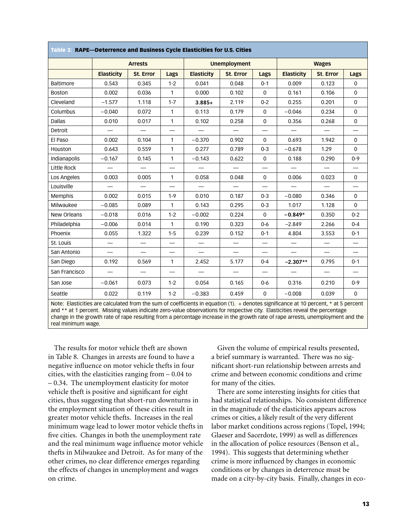| Table 3: RAPE-Deterrence and Business Cycle Elasticities for U.S. Cities                      |                                  |                                 |                          |                                   |                                  |                                   |                                   |                                   |                                 |  |  |
|-----------------------------------------------------------------------------------------------|----------------------------------|---------------------------------|--------------------------|-----------------------------------|----------------------------------|-----------------------------------|-----------------------------------|-----------------------------------|---------------------------------|--|--|
|                                                                                               |                                  | <b>Arrests</b>                  |                          |                                   | <b>Unemployment</b>              |                                   |                                   | <b>Wages</b>                      |                                 |  |  |
|                                                                                               | <b>Elasticity</b>                | <b>St. Error</b>                | Lags                     | <b>Elasticity</b>                 | <b>St. Error</b>                 | Lags                              | <b>Elasticity</b>                 | <b>St. Error</b>                  | Lags                            |  |  |
| <b>Baltimore</b>                                                                              | 0.543                            | 0.345                           | $1 - 2$                  | 0.041                             | 0.048                            | $0 - 1$                           | 0.009                             | 0.123                             | $\Omega$                        |  |  |
| <b>Boston</b>                                                                                 | 0.002                            | 0.036                           | $\mathbf{1}$             | 0.000                             | 0.102                            | $\mathbf{0}$                      | 0.161                             | 0.106                             | $\Omega$                        |  |  |
| Cleveland                                                                                     | $-1.577$                         | 1.118                           | $1 - 7$                  | $3.885+$                          | $0 - 2$<br>2.119                 |                                   | 0.255                             | 0.201                             | $\Omega$                        |  |  |
| Columbus                                                                                      | $-0.040$                         | 0.072                           | $\mathbf{1}$             | 0.113                             | 0.179                            | $\mathbf{0}$                      | $-0.046$                          | 0.234                             | $\mathbf 0$                     |  |  |
| Dallas                                                                                        | 0.010                            | 0.017                           | $\mathbf{1}$             | 0.102                             | 0.258                            | $\Omega$                          | 0.356                             | 0.268                             | $\mathbf 0$                     |  |  |
| Detroit                                                                                       | $\overline{\phantom{m}}$         | $\qquad \qquad$                 |                          |                                   |                                  | $\overline{\phantom{0}}$          | $\overline{\phantom{m}}$          |                                   |                                 |  |  |
| El Paso                                                                                       | 0.002                            | 0.104                           | $\mathbf{1}$             | $-0.370$                          | 0.902                            | $\Omega$                          | 0.693                             | 1.942                             | $\mathbf{0}$                    |  |  |
| Houston                                                                                       | 0.643                            | 0.559                           | $\mathbf{1}$             | 0.277                             | 0.789                            | $0 - 3$                           | $-0.678$                          | 1.29                              | $\Omega$                        |  |  |
| Indianapolis                                                                                  | $-0.167$                         | 0.145                           | $\mathbf{1}$             | $-0.143$                          | 0.622                            | $\mathbf 0$                       | 0.188                             | 0.290                             | $0 - 9$                         |  |  |
| Little Rock                                                                                   | $\overline{\phantom{m}}$         | $\qquad \qquad =$               | $\overline{\phantom{0}}$ | $\overbrace{\phantom{123221111}}$ | $\overbrace{\phantom{12322111}}$ | $\overline{\phantom{0}}$          | $\overbrace{\phantom{123221111}}$ | $\qquad \qquad -$                 | $\hspace{0.05cm}$               |  |  |
| Los Angeles                                                                                   | 0.003                            | 0.005                           | $\mathbf{1}$             | 0.058                             | 0.048                            | $\mathbf{0}$                      | 0.006                             | 0.023                             | $\Omega$                        |  |  |
| Louisville                                                                                    | $\overbrace{\phantom{12322111}}$ | $\qquad \qquad -$               | $\overline{\phantom{0}}$ | $\overline{\phantom{0}}$          | $\overline{\phantom{m}}$         |                                   | $\overbrace{\phantom{123221111}}$ | $\overline{\phantom{0}}$          | $\overbrace{\phantom{aaaaa}}$   |  |  |
| Memphis                                                                                       | 0.002                            | 0.015                           | $1-9$                    | 0.010                             | 0.187                            | $0 - 3$                           | $-0.080$                          | 0.346                             | $\Omega$                        |  |  |
| Milwaukee                                                                                     | $-0.085$                         | 0.089                           | $\mathbf{1}$             | 0.143                             | 0.295                            | $0 - 3$                           | 1.017                             | 1.128                             | $\Omega$                        |  |  |
| New Orleans                                                                                   | $-0.018$                         | 0.016                           | $1 - 2$                  | $-0.002$                          | 0.224                            | $\mathbf{0}$                      | $-0.849*$                         | 0.350                             | $0 - 2$                         |  |  |
| Philadelphia                                                                                  | $-0.006$                         | 0.014                           | $\mathbf{1}$             | 0.190                             | 0.323                            | $0 - 6$                           | $-2.849$                          | 2.266                             | $0 - 4$                         |  |  |
| Phoenix                                                                                       | 0.055                            | 1.322                           | $1 - 5$                  | 0.239                             | 0.152                            | $0 - 1$                           | 4.804                             | 3.553                             | $0 - 1$                         |  |  |
| St. Louis                                                                                     | $\overline{\phantom{0}}$         | $\overbrace{\qquad \qquad }^{}$ |                          |                                   | $\overline{\phantom{0}}$         |                                   |                                   | $\overline{\phantom{0}}$          |                                 |  |  |
| San Antonio                                                                                   | $\overbrace{\phantom{12322111}}$ | $\overbrace{\qquad \qquad }^{}$ | $\qquad \qquad$          | $\overbrace{\phantom{123221111}}$ |                                  | $\overbrace{\phantom{123221111}}$ | $\overbrace{\phantom{123221111}}$ | $\overbrace{\phantom{123221111}}$ | $\overbrace{\qquad \qquad }^{}$ |  |  |
| San Diego                                                                                     | 0.192                            | 0.569                           | $\mathbf{1}$             | 2.452                             | 5.177                            | $0 - 4$                           | $-2.307**$                        | 0.795                             | $0 - 1$                         |  |  |
| San Francisco                                                                                 |                                  | $\overbrace{\qquad \qquad }^{}$ |                          | $\overline{\phantom{m}}$          | $\qquad \qquad \longleftarrow$   |                                   |                                   |                                   | $\overline{\phantom{m}}$        |  |  |
| San Jose                                                                                      | $-0.061$                         | 0.073                           | $1 - 2$                  | 0.054                             | 0.165                            | $0 - 6$                           | 0.316                             | 0.210                             | $0 - 9$                         |  |  |
| Seattle<br>0.022<br>0.119<br>$1 - 2$<br>$-0.383$<br>0.459<br>$\mathbf 0$<br>$-0.008$<br>0.039 |                                  |                                 |                          |                                   |                                  |                                   |                                   | $\mathbf 0$                       |                                 |  |  |

Note: Elasticities are calculated from the sum of coefficients in equation (1). + denotes significance at 10 percent, \* at 5 percent and \*\* at 1 percent. Missing values indicate zero-value observations for respective city. Elasticities reveal the percentage change in the growth rate of rape resulting from a percentage increase in the growth rate of rape arrests, unemployment and the real minimum wage.

The results for motor vehicle theft are shown in Table 8. Changes in arrests are found to have a negative influence on motor vehicle thefts in four cities, with the elasticities ranging from – 0.04 to – 0.34. The unemployment elasticity for motor vehicle theft is positive and significant for eight cities, thus suggesting that short-run downturns in the employment situation of these cities result in greater motor vehicle thefts. Increases in the real minimum wage lead to lower motor vehicle thefts in five cities. Changes in both the unemployment rate and the real minimum wage influence motor vehicle thefts in Milwaukee and Detroit. As for many of the other crimes, no clear difference emerges regarding the effects of changes in unemployment and wages on crime.

Given the volume of empirical results presented, a brief summary is warranted. There was no significant short-run relationship between arrests and crime and between economic conditions and crime for many of the cities.

There are some interesting insights for cities that had statistical relationships. No consistent difference in the magnitude of the elasticities appears across crimes or cities, a likely result of the very different labor market conditions across regions (Topel, 1994; Glaeser and Sacerdote, 1999) as well as differences in the allocation of police resources (Benson et al., 1994). This suggests that determining whether crime is more influenced by changes in economic conditions or by changes in deterrence must be made on a city-by-city basis. Finally, changes in eco-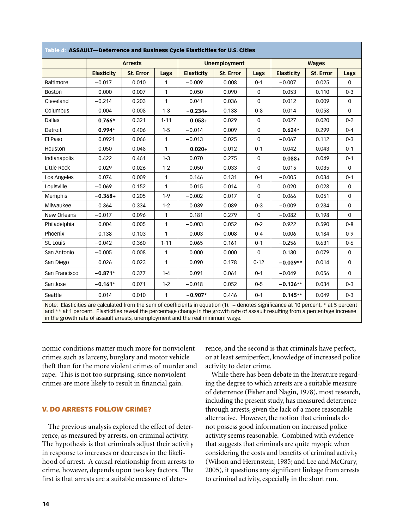| Table 4: ASSAULT-Deterrence and Business Cycle Elasticities for U.S. Cities                      |                   |                  |              |                                               |                     |             |                   |                  |             |  |  |  |
|--------------------------------------------------------------------------------------------------|-------------------|------------------|--------------|-----------------------------------------------|---------------------|-------------|-------------------|------------------|-------------|--|--|--|
|                                                                                                  |                   | <b>Arrests</b>   |              |                                               | <b>Unemployment</b> |             |                   | <b>Wages</b>     |             |  |  |  |
|                                                                                                  | <b>Elasticity</b> | <b>St. Error</b> | Lags         | <b>Elasticity</b><br><b>St. Error</b><br>Lags |                     |             | <b>Elasticity</b> | <b>St. Error</b> | Lags        |  |  |  |
| <b>Baltimore</b>                                                                                 | $-0.017$          | 0.010            | 1            | $-0.009$                                      | 0.008               | $0 - 1$     | $-0.007$          | 0.025            | $\mathbf 0$ |  |  |  |
| <b>Boston</b>                                                                                    | 0.000             | 0.007            | 1            | 0.050                                         | 0.090               | $\Omega$    | 0.053             | 0.110            | $0 - 3$     |  |  |  |
| Cleveland                                                                                        | $-0.214$          | 0.203            | 1            | 0.041                                         | 0.036               | $\Omega$    | 0.012             | 0.009            | $\mathbf 0$ |  |  |  |
| Columbus                                                                                         | 0.004             | 0.008            | $1 - 3$      | $-0.234+$                                     | 0.138               | $0 - 8$     | $-0.014$          | 0.058            | $\Omega$    |  |  |  |
| Dallas                                                                                           | $0.766*$          | 0.321            | $1 - 11$     | $0.053+$                                      | 0.029               | $\mathbf 0$ | 0.027             | 0.020            | $0 - 2$     |  |  |  |
| Detroit                                                                                          | $0.994*$          | 0.406            | $1 - 5$      | $-0.014$                                      | 0.009               | $\Omega$    | $0.624*$          | 0.299            | $0 - 4$     |  |  |  |
| El Paso                                                                                          | 0.0921            | 0.066            | $\mathbf{1}$ | $-0.013$                                      | 0.025               | $\mathbf 0$ | $-0.067$          | 0.112            | $0 - 3$     |  |  |  |
| Houston                                                                                          | $-0.050$          | 0.048            | 1            | $0.020 +$                                     | 0.012               | $0 - 1$     | $-0.042$          | 0.043            | $0 - 1$     |  |  |  |
| Indianapolis                                                                                     | 0.422             | 0.461            | $1 - 3$      | 0.070                                         | 0.275               | $\mathbf 0$ | $0.088 +$         | 0.049            | $0 - 1$     |  |  |  |
| Little Rock                                                                                      | $-0.029$          | 0.026            | $1 - 2$      | $-0.050$                                      | 0.033               | $\Omega$    | 0.015             | 0.035            | $\Omega$    |  |  |  |
| Los Angeles                                                                                      | 0.074             | 0.009            | 1            | 0.146                                         | 0.131               | $0 - 1$     | $-0.005$          | 0.034            | $0 - 1$     |  |  |  |
| Louisville                                                                                       | $-0.069$          | 0.152            | 1            | 0.015                                         | 0.014               | $\Omega$    | 0.020             | 0.028            | $\Omega$    |  |  |  |
| Memphis                                                                                          | $-0.368+$         | 0.205            | $1-9$        | $-0.002$                                      | 0.017               | $\Omega$    | 0.066             | 0.051            | $\mathbf 0$ |  |  |  |
| Milwaukee                                                                                        | 0.364             | 0.334            | $1 - 2$      | 0.039                                         | 0.089               | $0 - 3$     | $-0.009$          | 0.234            | $\mathbf 0$ |  |  |  |
| New Orleans                                                                                      | $-0.017$          | 0.096            | 1            | 0.181                                         | 0.279               | $\Omega$    | $-0.082$          | 0.198            | $\Omega$    |  |  |  |
| Philadelphia                                                                                     | 0.004             | 0.005            | $\mathbf{1}$ | $-0.003$                                      | 0.052               | $0 - 2$     | 0.922             | 0.590            | $0 - 8$     |  |  |  |
| Phoenix                                                                                          | $-0.138$          | 0.103            | $\mathbf{1}$ | 0.003                                         | 0.008               | $0 - 4$     | 0.006             | 0.184            | $0 - 9$     |  |  |  |
| St. Louis                                                                                        | $-0.042$          | 0.360            | $1 - 11$     | 0.065                                         | 0.161               | $0 - 1$     | $-0.256$          | 0.631            | $0-6$       |  |  |  |
| San Antonio                                                                                      | $-0.005$          | 0.008            | 1            | 0.000                                         | 0.000               | $\mathbf 0$ | 0.130             | 0.079            | $\mathbf 0$ |  |  |  |
| San Diego                                                                                        | 0.026             | 0.023            | 1            | 0.090                                         | 0.178               | $0 - 12$    | $-0.039**$        | 0.014            | $\mathbf 0$ |  |  |  |
| San Francisco                                                                                    | $-0.871*$         | 0.377            | $1 - 4$      | 0.091                                         | 0.061               | $0 - 1$     | $-0.049$          | 0.056            | $\Omega$    |  |  |  |
| San Jose                                                                                         | $-0.161*$         | 0.071            | $1 - 2$      | $-0.018$                                      | 0.052               | $0 - 5$     | $-0.136**$        | 0.034            | $0 - 3$     |  |  |  |
| Seattle<br>0.014<br>0.010<br>1<br>$-0.907*$<br>$0 - 1$<br>$0.145**$<br>0.049<br>$0 - 3$<br>0.446 |                   |                  |              |                                               |                     |             |                   |                  |             |  |  |  |

Note: Elasticities are calculated from the sum of coefficients in equation (1). + denotes significance at 10 percent, \* at 5 percent and \*\* at 1 percent. Elasticities reveal the percentage change in the growth rate of assault resulting from a percentage increase in the growth rate of assault arrests, unemployment and the real minimum wage.

nomic conditions matter much more for nonviolent crimes such as larceny, burglary and motor vehicle theft than for the more violent crimes of murder and rape. This is not too surprising, since nonviolent crimes are more likely to result in financial gain.

#### V. Do Arrests Follow Crime?

The previous analysis explored the effect of deterrence, as measured by arrests, on criminal activity. The hypothesis is that criminals adjust their activity in response to increases or decreases in the likelihood of arrest. A causal relationship from arrests to crime, however, depends upon two key factors. The first is that arrests are a suitable measure of deter-

rence, and the second is that criminals have perfect, or at least semiperfect, knowledge of increased police activity to deter crime.

While there has been debate in the literature regarding the degree to which arrests are a suitable measure of deterrence (Fisher and Nagin, 1978), most research, including the present study, has measured deterrence through arrests, given the lack of a more reasonable alternative. However, the notion that criminals do not possess good information on increased police activity seems reasonable. Combined with evidence that suggests that criminals are quite myopic when considering the costs and benefits of criminal activity (Wilson and Herrnstein, 1985; and Lee and McCrary, 2005), it questions any significant linkage from arrests to criminal activity, especially in the short run.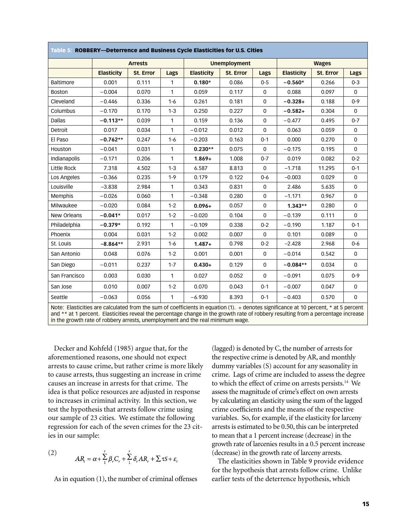| Table 5: ROBBERY-Deterrence and Business Cycle Elasticities for U.S. Cities                                                          |                   |                |              |                   |                     |             |                   |                  |                     |  |  |
|--------------------------------------------------------------------------------------------------------------------------------------|-------------------|----------------|--------------|-------------------|---------------------|-------------|-------------------|------------------|---------------------|--|--|
|                                                                                                                                      |                   | <b>Arrests</b> |              |                   | <b>Unemployment</b> |             |                   | <b>Wages</b>     |                     |  |  |
|                                                                                                                                      | <b>Elasticity</b> | St. Error      | Lags         | <b>Elasticity</b> | <b>St. Error</b>    | Lags        | <b>Elasticity</b> | <b>St. Error</b> | Lags                |  |  |
| Baltimore                                                                                                                            | 0.001             | 0.111          | $\mathbf{1}$ | $0.180*$          | 0.086               | $0 - 5$     | $-0.560*$         | 0.266            | $0 - 3$             |  |  |
| <b>Boston</b>                                                                                                                        | $-0.004$          | 0.070          | $\mathbf{1}$ | 0.059             | 0.117               | $\mathbf 0$ | 0.088             | 0.097            | $\mathbf 0$         |  |  |
| Cleveland                                                                                                                            | $-0.446$          | 0.336          | $1 - 6$      | 0.261             | 0.181               | $\Omega$    | $-0.328+$         | 0.188            | $0 - 9$             |  |  |
| Columbus                                                                                                                             | $-0.170$          | 0.170          | $1 - 3$      | 0.250             | 0.227               | $\mathbf 0$ | $-0.582+$         | 0.304            | $\mathbf 0$         |  |  |
| Dallas                                                                                                                               | $-0.113**$        | 0.039          | $\mathbf{1}$ | 0.159             | 0.136               | $\Omega$    | $-0.477$          | 0.495            | $0 - 7$             |  |  |
| Detroit                                                                                                                              | 0.017             | 0.034          | $\mathbf{1}$ | $-0.012$          | 0.012               | $\Omega$    | 0.063             | 0.059            | $\Omega$            |  |  |
| El Paso                                                                                                                              | $-0.762**$        | 0.247          | $1 - 6$      | $-0.203$          | 0.163               | $0 - 1$     | 0.000             | 0.270            | $\mathbf 0$         |  |  |
| Houston                                                                                                                              | $-0.041$          | 0.031          | $\mathbf{1}$ | $0.230**$         | 0.075               | $\mathbf 0$ | $-0.175$          | 0.195            | $\mathbf 0$         |  |  |
| Indianapolis                                                                                                                         | $-0.171$          | 0.206          | $\mathbf{1}$ | $1.869+$          | 1.008               | $0 - 7$     | 0.019             | 0.082            | $0 - 2$             |  |  |
| Little Rock                                                                                                                          | 7.318             | 4.502          | $1 - 3$      | 6.587             | 8.813               | $\Omega$    | $-1.718$          | 11.295           | $0 - 1$             |  |  |
| Los Angeles                                                                                                                          | $-0.366$          | 0.235          | $1 - 9$      | 0.179             | 0.122               | $0-6$       | $-0.003$          | 0.029            | $\mathbf 0$         |  |  |
| Louisville                                                                                                                           | $-3.838$          | 2.984          | $\mathbf{1}$ | 0.343             | 0.831               | $\mathbf 0$ | 2.486             | 5.635            | $\mathbf 0$         |  |  |
| Memphis                                                                                                                              | $-0.026$          | 0.060          | $\mathbf{1}$ | $-0.348$          | 0.280               | $\mathbf 0$ | $-1.171$          | 0.967            | $\mathsf{O}\xspace$ |  |  |
| Milwaukee                                                                                                                            | $-0.020$          | 0.084          | $1 - 2$      | $0.096 +$         | 0.057               | $\mathbf 0$ | $1.343**$         | 0.280            | $\mathbf 0$         |  |  |
| New Orleans                                                                                                                          | $-0.041*$         | 0.017          | $1 - 2$      | $-0.020$          | 0.104               | $\mathbf 0$ | $-0.139$          | 0.111            | $\mathbf 0$         |  |  |
| Philadelphia                                                                                                                         | $-0.379*$         | 0.192          | $\mathbf{1}$ | $-0.109$          | 0.338               | $0 - 2$     | $-0.190$          | 1.187            | $0 - 1$             |  |  |
| Phoenix                                                                                                                              | 0.004             | 0.031          | $1 - 2$      | 0.002             | 0.007               | $\Omega$    | 0.101             | 0.089            | $\mathbf{0}$        |  |  |
| St. Louis                                                                                                                            | $-8.864**$        | 2.931          | $1 - 6$      | $1.487 +$         | 0.798               | $0 - 2$     | $-2.428$          | 2.968            | $0-6$               |  |  |
| San Antonio                                                                                                                          | 0.048             | 0.076          | $1 - 2$      | 0.001             | 0.001               | $\mathbf 0$ | $-0.014$          | 0.542            | $\mathsf{O}\xspace$ |  |  |
| San Diego                                                                                                                            | $-0.011$          | 0.237          | $1 - 7$      | $0.430+$          | 0.129               | $\mathbf 0$ | $-0.084**$        | 0.034            | $\mathbf 0$         |  |  |
| San Francisco                                                                                                                        | 0.003             | 0.030          | $\mathbf{1}$ | 0.027             | 0.052               | $\Omega$    | $-0.091$          | 0.075            | $0 - 9$             |  |  |
| San Jose                                                                                                                             | 0.010             | 0.007          | $1 - 2$      | 0.070             | 0.043               | $0 - 1$     | $-0.007$          | 0.047            | $\mathbf 0$         |  |  |
| Seattle                                                                                                                              | $-0.063$          | 0.056          | $\mathbf{1}$ | $-6.930$          | 8.393               | $0 - 1$     | $-0.403$          | 0.570            | $\mathbf 0$         |  |  |
| Note: Elasticities are calculated from the sum of coefficients in equation (1). + denotes significance at 10 percent, * at 5 percent |                   |                |              |                   |                     |             |                   |                  |                     |  |  |

and \*\* at 1 percent. Elasticities reveal the percentage change in the growth rate of robbery resulting from a percentage increase in the growth rate of robbery arrests, unemployment and the real minimum wage.

Decker and Kohfeld (1985) argue that, for the aforementioned reasons, one should not expect arrests to cause crime, but rather crime is more likely to cause arrests, thus suggesting an increase in crime causes an increase in arrests for that crime. The idea is that police resources are adjusted in response to increases in criminal activity. In this section, we test the hypothesis that arrests follow crime using our sample of 23 cities. We estimate the following regression for each of the seven crimes for the 23 cities in our sample:

(2) 
$$
AR_{t} = \alpha + \sum_{1}^{r} \beta_{r} C_{r} + \sum_{1}^{r} \delta_{r} AR_{r} + \sum \tau S + \varepsilon
$$

As in equation (1), the number of criminal offenses

(lagged) is denoted by C, the number of arrests for the respective crime is denoted by AR, and monthly dummy variables (S) account for any seasonality in crime. Lags of crime are included to assess the degree to which the effect of crime on arrests persists.<sup>14</sup> We assess the magnitude of crime's effect on own arrests by calculating an elasticity using the sum of the lagged crime coefficients and the means of the respective variables. So, for example, if the elasticity for larceny arrests is estimated to be 0.50, this can be interpreted to mean that a 1 percent increase (decrease) in the growth rate of larcenies results in a 0.5 percent increase (decrease) in the growth rate of larceny arrests.

The elasticities shown in Table 9 provide evidence for the hypothesis that arrests follow crime. Unlike earlier tests of the deterrence hypothesis, which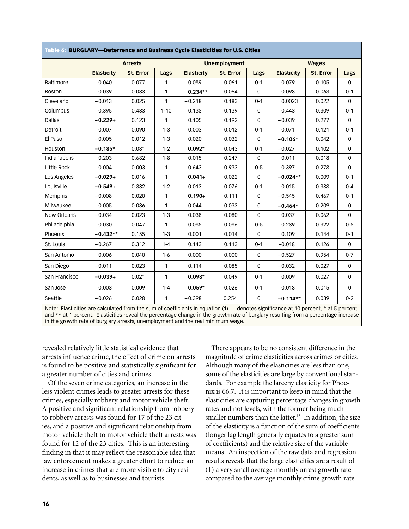| Table 6: BURGLARY-Deterrence and Business Cycle Elasticities for U.S. Cities                 |                   |                  |              |                   |                     |              |                   |                  |              |  |  |  |
|----------------------------------------------------------------------------------------------|-------------------|------------------|--------------|-------------------|---------------------|--------------|-------------------|------------------|--------------|--|--|--|
|                                                                                              |                   | <b>Arrests</b>   |              |                   | <b>Unemployment</b> |              |                   | <b>Wages</b>     |              |  |  |  |
|                                                                                              | <b>Elasticity</b> | <b>St. Error</b> | Lags         | <b>Elasticity</b> | <b>St. Error</b>    | Lags         | <b>Elasticity</b> | <b>St. Error</b> | Lags         |  |  |  |
| <b>Baltimore</b>                                                                             | 0.040             | 0.077            | 1            | 0.089             | 0.061               | $0 - 1$      | 0.079             | 0.105            | $\mathbf{0}$ |  |  |  |
| <b>Boston</b>                                                                                | $-0.039$          | 0.033            | $\mathbf{1}$ | $0.234**$         | 0.064               | $\Omega$     | 0.098             | 0.063            | $0 - 1$      |  |  |  |
| Cleveland                                                                                    | $-0.013$          | 0.025            | $\mathbf{1}$ | $-0.218$          | 0.183               | $0 - 1$      | 0.0023            | 0.022            | $\Omega$     |  |  |  |
| Columbus                                                                                     | 0.395             | 0.433            | $1 - 10$     | 0.138             | 0.139               | $\Omega$     | $-0.443$          | 0.309            | $0 - 1$      |  |  |  |
| <b>Dallas</b>                                                                                | $-0.229+$         | 0.123            | $\mathbf{1}$ | 0.105             | 0.192               | $\Omega$     | $-0.039$          | 0.277            | $\Omega$     |  |  |  |
| Detroit                                                                                      | 0.007             | 0.090            | $1 - 3$      | $-0.003$          | 0.012               | $0 - 1$      | $-0.071$          | 0.121            | $0 - 1$      |  |  |  |
| El Paso                                                                                      | $-0.005$          | 0.012            | $1 - 3$      | 0.020             | 0.032               | $\Omega$     | $-0.106*$         | 0.042            | $\mathbf 0$  |  |  |  |
| Houston                                                                                      | $-0.185*$         | 0.081            | $1 - 2$      | $0.092*$          | 0.043               | $0 - 1$      | $-0.027$          | 0.102            | $\Omega$     |  |  |  |
| Indianapolis                                                                                 | 0.203             | 0.682            | $1 - 8$      | 0.015             | 0.247               | $\mathbf 0$  | 0.011             | 0.018            | $\mathbf 0$  |  |  |  |
| Little Rock                                                                                  | $-0.004$          | 0.003            | 1            | 0.643             | 0.933               | $0-5$        | 0.397             | 0.278            | $\mathbf 0$  |  |  |  |
| Los Angeles                                                                                  | $-0.029+$         | 0.016            | 1            | $0.041 +$         | 0.022               | $\mathbf{0}$ | $-0.024**$        | 0.009            | $0 - 1$      |  |  |  |
| Louisville                                                                                   | $-0.549+$         | 0.332            | $1 - 2$      | $-0.013$          | 0.076               | $0 - 1$      | 0.015             | 0.388            | $0 - 4$      |  |  |  |
| Memphis                                                                                      | $-0.008$          | 0.020            | 1            | $0.190 +$         | 0.111               | $\mathbf 0$  | $-0.545$          | 0.467            | $0 - 1$      |  |  |  |
| Milwaukee                                                                                    | 0.005             | 0.036            | 1            | 0.044             | 0.033               | $\Omega$     | $-0.464*$         | 0.209            | $\mathbf 0$  |  |  |  |
| New Orleans                                                                                  | $-0.034$          | 0.023            | $1 - 3$      | 0.038             | 0.080               | $\Omega$     | 0.037             | 0.062            | $\mathbf 0$  |  |  |  |
| Philadelphia                                                                                 | $-0.030$          | 0.047            | $\mathbf{1}$ | $-0.085$          | 0.086               | $0 - 5$      | 0.289             | 0.322            | $0 - 5$      |  |  |  |
| Phoenix                                                                                      | $-0.432**$        | 0.155            | $1 - 3$      | 0.001             | 0.014               | $\mathbf 0$  | 0.109             | 0.144            | $0 - 1$      |  |  |  |
| St. Louis                                                                                    | $-0.267$          | 0.312            | $1 - 4$      | 0.143             | 0.113               | $0 - 1$      | $-0.018$          | 0.126            | $\Omega$     |  |  |  |
| San Antonio                                                                                  | 0.006             | 0.040            | $1 - 6$      | 0.000             | 0.000               | $\mathbf 0$  | $-0.527$          | 0.954            | $0 - 7$      |  |  |  |
| San Diego                                                                                    | $-0.011$          | 0.023            | 1            | 0.114             | 0.085               | $\mathbf 0$  | $-0.032$          | 0.027            | $\mathbf 0$  |  |  |  |
| San Francisco                                                                                | $-0.039+$         | 0.021            | 1            | $0.098*$          | 0.049               | $0 - 1$      | 0.009             | 0.027            | $\mathbf 0$  |  |  |  |
| San Jose                                                                                     | 0.003             | 0.009            | $1 - 4$      | $0.059*$          | 0.026               | $0 - 1$      | 0.018             | 0.015            | $\mathbf 0$  |  |  |  |
| 1<br>0.254<br>$\mathbf 0$<br>Seattle<br>$-0.026$<br>0.028<br>$-0.398$<br>0.039<br>$-0.114**$ |                   |                  |              |                   |                     |              |                   |                  | $0 - 2$      |  |  |  |

Note: Elasticities are calculated from the sum of coefficients in equation (1). + denotes significance at 10 percent, \* at 5 percent and \*\* at 1 percent. Elasticities reveal the percentage change in the growth rate of burglary resulting from a percentage increase in the growth rate of burglary arrests, unemployment and the real minimum wage.

revealed relatively little statistical evidence that arrests influence crime, the effect of crime on arrests is found to be positive and statistically significant for a greater number of cities and crimes.

Of the seven crime categories, an increase in the less violent crimes leads to greater arrests for these crimes, especially robbery and motor vehicle theft. A positive and significant relationship from robbery to robbery arrests was found for 17 of the 23 cities, and a positive and significant relationship from motor vehicle theft to motor vehicle theft arrests was found for 12 of the 23 cities. This is an interesting finding in that it may reflect the reasonable idea that law enforcement makes a greater effort to reduce an increase in crimes that are more visible to city residents, as well as to businesses and tourists.

There appears to be no consistent difference in the magnitude of crime elasticities across crimes or cities. Although many of the elasticities are less than one, some of the elasticities are large by conventional standards. For example the larceny elasticity for Phoenix is 66.7. It is important to keep in mind that the elasticities are capturing percentage changes in growth rates and not levels, with the former being much smaller numbers than the latter.<sup>15</sup> In addition, the size of the elasticity is a function of the sum of coefficients (longer lag length generally equates to a greater sum of coefficients) and the relative size of the variable means. An inspection of the raw data and regression results reveals that the large elasticities are a result of (1) a very small average monthly arrest growth rate compared to the average monthly crime growth rate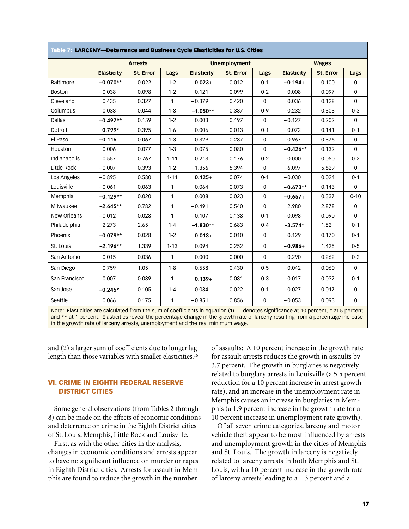| Table 7: LARCENY-Deterrence and Business Cycle Elasticities for U.S. Cities |                   |                  |              |                   |                     |              |                   |                  |                     |  |  |
|-----------------------------------------------------------------------------|-------------------|------------------|--------------|-------------------|---------------------|--------------|-------------------|------------------|---------------------|--|--|
|                                                                             |                   | <b>Arrests</b>   |              |                   | <b>Unemployment</b> |              |                   | <b>Wages</b>     |                     |  |  |
|                                                                             | <b>Elasticity</b> | <b>St. Error</b> | Lags         | <b>Elasticity</b> | St. Error           | <b>Lags</b>  | <b>Elasticity</b> | <b>St. Error</b> | Lags                |  |  |
| <b>Baltimore</b>                                                            | $-0.070**$        | 0.022            | $1 - 2$      | $0.023 +$         | 0.012               | $0 - 1$      | $-0.194+$         | 0.100            | $\mathbf 0$         |  |  |
| <b>Boston</b>                                                               | $-0.038$          | 0.098            | $1 - 2$      | 0.121             | 0.099               | $0 - 2$      | 0.008             | 0.097            | $\Omega$            |  |  |
| Cleveland                                                                   | 0.435             | 0.327            | $\mathbf{1}$ | $-0.379$          | 0.420               | $\mathbf{0}$ | 0.036             | 0.128            | $\Omega$            |  |  |
| Columbus                                                                    | $-0.038$          | 0.044            | $1 - 8$      | $-1.050**$        | 0.387               | $0 - 9$      | $-0.232$          | 0.808            | $0 - 3$             |  |  |
| Dallas                                                                      | $-0.497**$        | 0.159            | $1 - 2$      | 0.003             | 0.197               | $\mathbf 0$  | $-0.127$          | 0.202            | $\Omega$            |  |  |
| Detroit                                                                     | $0.799*$          | 0.395            | $1 - 6$      | $-0.006$          | 0.013               | $0 - 1$      | $-0.072$          | 0.141            | $0 - 1$             |  |  |
| El Paso                                                                     | $-0.116+$         | 0.067            | $1 - 3$      | $-0.329$          | 0.287               | $\mathbf 0$  | $-0.967$          | 0.876            | $\mathbf 0$         |  |  |
| Houston                                                                     | 0.006             | 0.077            | $1 - 3$      | 0.075             | 0.080               | $\Omega$     | $-0.426**$        | 0.132            | $\Omega$            |  |  |
| Indianapolis                                                                | 0.557             | 0.767            | $1 - 11$     | 0.213             | 0.176               | $0 - 2$      | 0.000             | 0.050            | $0 - 2$             |  |  |
| Little Rock                                                                 | $-0.007$          | 0.393            | $1 - 2$      | $-1.356$          | 5.394               | $\Omega$     | $-6.097$          | 5.629            | $\Omega$            |  |  |
| Los Angeles                                                                 | $-0.895$          | 0.580            | $1 - 11$     | $0.125+$          | 0.074               | $0 - 1$      | $-0.030$          | 0.024            | $0 - 1$             |  |  |
| Louisville                                                                  | $-0.061$          | 0.063            | $\mathbf{1}$ | 0.064             | 0.073               | $\mathbf 0$  | $-0.673**$        | 0.143            | $\mathbf 0$         |  |  |
| <b>Memphis</b>                                                              | $-0.129**$        | 0.020            | 1            | 0.008             | 0.023               | $\Omega$     | $-0.657+$         | 0.337            | $0 - 10$            |  |  |
| Milwaukee                                                                   | $-2.645**$        | 0.782            | $\mathbf{1}$ | $-0.491$          | 0.540               | $\mathbf{0}$ | 2.980             | 2.878            | $\mathbf 0$         |  |  |
| New Orleans                                                                 | $-0.012$          | 0.028            | $\mathbf{1}$ | $-0.107$          | 0.138               | $0 - 1$      | $-0.098$          | 0.090            | $\Omega$            |  |  |
| Philadelphia                                                                | 2.273             | 2.65             | $1 - 4$      | $-1.830**$        | 0.683               | $0 - 4$      | $-3.574*$         | 1.82             | $0 - 1$             |  |  |
| Phoenix                                                                     | $-0.079**$        | 0.028            | $1 - 2$      | $0.018 +$         | 0.010               | $\mathbf 0$  | 0.129             | 0.170            | $0 - 1$             |  |  |
| St. Louis                                                                   | $-2.196**$        | 1.339            | $1 - 13$     | 0.094             | 0.252               | $\Omega$     | $-0.986+$         | 1.425            | $0 - 5$             |  |  |
| San Antonio                                                                 | 0.015             | 0.036            | 1            | 0.000             | 0.000               | $\mathbf{0}$ | $-0.290$          | 0.262            | $0 - 2$             |  |  |
| San Diego                                                                   | 0.759             | 1.05             | $1 - 8$      | $-0.558$          | 0.430               | $0 - 5$      | $-0.042$          | 0.060            | $\mathbf 0$         |  |  |
| San Francisco                                                               | $-0.007$          | 0.089            | $\mathbf{1}$ | $0.139+$          | 0.081               | $0 - 3$      | $-0.017$          | 0.037            | $0 - 1$             |  |  |
| San Jose                                                                    | $-0.245*$         | 0.105            | $1 - 4$      | 0.034             | 0.022               | $0 - 1$      | 0.027             | 0.017            | $\mathsf{O}\xspace$ |  |  |
| Seattle                                                                     | 0.066             | 0.175            | $\mathbf{1}$ | $-0.851$          | 0.856               | $\mathbf 0$  | $-0.053$          | 0.093            | $\mathsf{O}\xspace$ |  |  |

Note: Elasticities are calculated from the sum of coefficients in equation (1). + denotes significance at 10 percent, \* at 5 percent and \*\* at 1 percent. Elasticities reveal the percentage change in the growth rate of larceny resulting from a percentage increase in the growth rate of larceny arrests, unemployment and the real minimum wage.

and (2) a larger sum of coefficients due to longer lag length than those variables with smaller elasticities.<sup>16</sup>

#### VI. Crime in Eighth Federal Reserve District Cities

Some general observations (from Tables 2 through 8) can be made on the effects of economic conditions and deterrence on crime in the Eighth District cities of St. Louis, Memphis, Little Rock and Louisville.

First, as with the other cities in the analysis, changes in economic conditions and arrests appear to have no significant influence on murder or rapes in Eighth District cities. Arrests for assault in Memphis are found to reduce the growth in the number

of assaults: A 10 percent increase in the growth rate for assault arrests reduces the growth in assaults by 3.7 percent. The growth in burglaries is negatively related to burglary arrests in Louisville (a 5.5 percent reduction for a 10 percent increase in arrest growth rate), and an increase in the unemployment rate in Memphis causes an increase in burglaries in Memphis (a 1.9 percent increase in the growth rate for a 10 percent increase in unemployment rate growth).

Of all seven crime categories, larceny and motor vehicle theft appear to be most influenced by arrests and unemployment growth in the cities of Memphis and St. Louis. The growth in larceny is negatively related to larceny arrests in both Memphis and St. Louis, with a 10 percent increase in the growth rate of larceny arrests leading to a 1.3 percent and a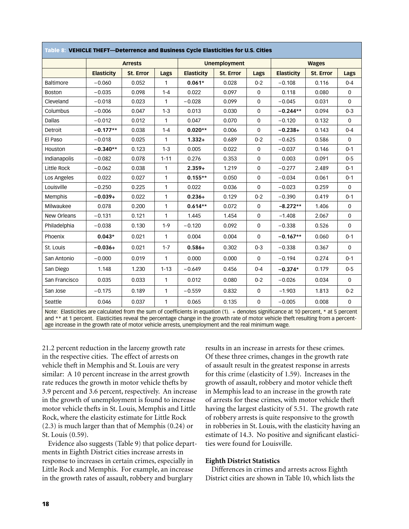| Table 8: VEHICLE THEFT-Deterrence and Business Cycle Elasticities for U.S. Cities |                   |                |              |                   |                     |              |                   |                  |             |  |  |
|-----------------------------------------------------------------------------------|-------------------|----------------|--------------|-------------------|---------------------|--------------|-------------------|------------------|-------------|--|--|
|                                                                                   |                   | <b>Arrests</b> |              |                   | <b>Unemployment</b> |              |                   | <b>Wages</b>     |             |  |  |
|                                                                                   | <b>Elasticity</b> | St. Error      | Lags         | <b>Elasticity</b> | <b>St. Error</b>    | <b>Lags</b>  | <b>Elasticity</b> | <b>St. Error</b> | Lags        |  |  |
| <b>Baltimore</b>                                                                  | $-0.060$          | 0.052          | 1            | $0.061*$          | 0.028               | $0 - 2$      | $-0.108$          | 0.116            | $0 - 4$     |  |  |
| <b>Boston</b>                                                                     | $-0.035$          | 0.098          | $1 - 4$      | 0.022             | 0.097               | $\Omega$     | 0.118             | 0.080            | $\Omega$    |  |  |
| Cleveland                                                                         | $-0.018$          | 0.023          | 1            | $-0.028$          | 0.099               | $\mathbf 0$  | $-0.045$          | 0.031            | $\mathbf 0$ |  |  |
| Columbus                                                                          | $-0.006$          | 0.047          | $1 - 3$      | 0.013             | 0.030               | $\Omega$     | $-0.244**$        | 0.094            | $0 - 3$     |  |  |
| <b>Dallas</b>                                                                     | $-0.012$          | 0.012          | $\mathbf{1}$ | 0.047             | 0.070               | $\mathbf 0$  | $-0.120$          | 0.132            | $\Omega$    |  |  |
| Detroit                                                                           | $-0.177**$        | 0.038          | $1 - 4$      | $0.020**$         | 0.006               | $\Omega$     | $-0.238+$         | 0.143            | $0 - 4$     |  |  |
| El Paso                                                                           | $-0.018$          | 0.025          | 1            | $1.332+$          | 0.689               | $0 - 2$      | $-0.625$          | 0.586            | $\mathbf 0$ |  |  |
| Houston                                                                           | $-0.340**$        | 0.123          | $1 - 3$      | 0.005             | 0.022               | $\Omega$     | $-0.037$          | 0.146            | $0 - 1$     |  |  |
| Indianapolis                                                                      | $-0.082$          | 0.078          | $1 - 11$     | 0.276             | 0.353               | $\mathbf 0$  | 0.003             | 0.091            | $0-5$       |  |  |
| Little Rock                                                                       | $-0.062$          | 0.038          | 1            | $2.359+$          | 1.219               | $\Omega$     | $-0.277$          | 2.489            | $0 - 1$     |  |  |
| Los Angeles                                                                       | 0.022             | 0.027          | $\mathbf{1}$ | $0.155**$         | 0.050               | $\Omega$     | $-0.034$          | 0.061            | $0 - 1$     |  |  |
| Louisville                                                                        | $-0.250$          | 0.225          | $\mathbf{1}$ | 0.022             | 0.036               | $\mathbf 0$  | $-0.023$          | 0.259            | $\mathbf 0$ |  |  |
| <b>Memphis</b>                                                                    | $-0.039+$         | 0.022          | $\mathbf{1}$ | $0.236+$          | 0.129               | $0 - 2$      | $-0.390$          | 0.419            | $0 - 1$     |  |  |
| Milwaukee                                                                         | 0.078             | 0.200          | $\mathbf{1}$ | $0.614**$         | 0.072               | $\mathbf{0}$ | $-8.272**$        | 1.406            | $\mathbf 0$ |  |  |
| New Orleans                                                                       | $-0.131$          | 0.121          | $\mathbf{1}$ | 1.445             | 1.454               | $\Omega$     | $-1.408$          | 2.067            | $\mathbf 0$ |  |  |
| Philadelphia                                                                      | $-0.038$          | 0.130          | $1-9$        | $-0.120$          | 0.092               | $\mathbf 0$  | $-0.338$          | 0.526            | $\mathbf 0$ |  |  |
| Phoenix                                                                           | $0.043*$          | 0.021          | $\mathbf{1}$ | 0.004             | 0.004               | $\Omega$     | $-0.167**$        | 0.060            | $0 - 1$     |  |  |
| St. Louis                                                                         | $-0.036+$         | 0.021          | $1 - 7$      | $0.586+$          | 0.302               | $0 - 3$      | $-0.338$          | 0.367            | $\mathbf 0$ |  |  |
| San Antonio                                                                       | $-0.000$          | 0.019          | $\mathbf{1}$ | 0.000             | 0.000               | $\Omega$     | $-0.194$          | 0.274            | $0 - 1$     |  |  |
| San Diego                                                                         | 1.148             | 1.230          | $1 - 13$     | $-0.649$          | 0.456               | $0 - 4$      | $-0.374*$         | 0.179            | $0 - 5$     |  |  |
| San Francisco                                                                     | 0.035             | 0.033          | 1            | 0.012             | 0.080               | $0 - 2$      | $-0.026$          | 0.034            | $\Omega$    |  |  |
| $-0.175$<br>0.189<br>$\mathbf{1}$<br>San Jose                                     |                   | $-0.559$       | 0.832        | $\mathbf 0$       | $-1.903$            | 1.813        | $0 - 2$           |                  |             |  |  |
| Seattle                                                                           | 0.046             | 0.037          | 1            | 0.065             | 0.135               | $\pmb{0}$    | $-0.005$          | 0.008            | $\mathbf 0$ |  |  |

Note: Elasticities are calculated from the sum of coefficients in equation (1). + denotes significance at 10 percent, \* at 5 percent and \*\* at 1 percent. Elasticities reveal the percentage change in the growth rate of motor vehicle theft resulting from a percentage increase in the growth rate of motor vehicle arrests, unemployment and the real minimum wage.

21.2 percent reduction in the larceny growth rate in the respective cities. The effect of arrests on vehicle theft in Memphis and St. Louis are very similar: A 10 percent increase in the arrest growth rate reduces the growth in motor vehicle thefts by 3.9 percent and 3.6 percent, respectively. An increase in the growth of unemployment is found to increase motor vehicle thefts in St. Louis, Memphis and Little Rock, where the elasticity estimate for Little Rock (2.3) is much larger than that of Memphis (0.24) or St. Louis (0.59).

Evidence also suggests (Table 9) that police departments in Eighth District cities increase arrests in response to increases in certain crimes, especially in Little Rock and Memphis. For example, an increase in the growth rates of assault, robbery and burglary

results in an increase in arrests for these crimes. Of these three crimes, changes in the growth rate of assault result in the greatest response in arrests for this crime (elasticity of 1.59). Increases in the growth of assault, robbery and motor vehicle theft in Memphis lead to an increase in the growth rate of arrests for these crimes, with motor vehicle theft having the largest elasticity of 5.51. The growth rate of robbery arrests is quite responsive to the growth in robberies in St. Louis, with the elasticity having an estimate of 14.3. No positive and significant elasticities were found for Louisville.

#### **Eighth District Statistics**

Differences in crimes and arrests across Eighth District cities are shown in Table 10, which lists the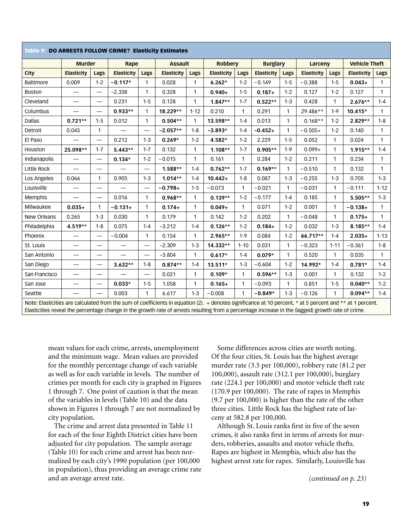| Table 9:         | DO ARRESTS FOLLOW CRIME? Elasticity Estimates |                                |                   |                          |                   |              |                   |              |                   |              |                   |              |                      |              |
|------------------|-----------------------------------------------|--------------------------------|-------------------|--------------------------|-------------------|--------------|-------------------|--------------|-------------------|--------------|-------------------|--------------|----------------------|--------------|
|                  | <b>Murder</b>                                 |                                | Rape              |                          | <b>Assault</b>    |              | <b>Robbery</b>    |              | <b>Burglary</b>   |              | Larceny           |              | <b>Vehicle Theft</b> |              |
| <b>City</b>      | <b>Elasticity</b>                             | Lags                           | <b>Elasticity</b> | Lags                     | <b>Elasticity</b> | Lags         | <b>Elasticity</b> | Lags         | <b>Elasticity</b> | Lags         | <b>Elasticity</b> | Lags         | <b>Elasticity</b>    | Lags         |
| <b>Baltimore</b> | 0.009                                         | $1 - 2$                        | $-0.117*$         | 1                        | 0.028             | 1            | $6.262*$          | $1 - 2$      | $-0.149$          | $1 - 5$      | $-0.388$          | $1 - 5$      | $0.043+$             | 1            |
| <b>Boston</b>    | $\qquad \qquad$                               |                                | $-2.338$          | 1                        | 0.328             | $\mathbf{1}$ | $0.940 +$         | $1 - 5$      | $0.187 +$         | $1 - 2$      | 0.127             | $1 - 2$      | 0.127                | $\mathbf{1}$ |
| Cleveland        | $\overline{\phantom{0}}$                      | $\overline{\phantom{0}}$       | 0.231             | $1 - 5$                  | 0.128             | 1            | $1.847**$         | $1 - 7$      | $0.522**$         | $1 - 3$      | 0.428             | $\mathbf{1}$ | $2.676**$            | $1 - 4$      |
| Columbus         | —                                             | $\overline{\phantom{0}}$       | $0.933**$         | 1                        | 18.229**          | $1 - 12$     | 0.210             | $\mathbf{1}$ | 0.291             | 1            | 29.486**          | $1 - 9$      | $10.415*$            | $\mathbf{1}$ |
| Dallas           | $0.721**$                                     | $1 - 5$                        | 0.012             | 1                        | $0.504**$         | $\mathbf{1}$ | 13.598**          | $1 - 4$      | 0.013             | 1            | $0.168**$         | $1 - 2$      | 2.829**              | $1 - 8$      |
| Detroit          | 0.045                                         | 1                              |                   |                          | $-2.057**$        | $1 - 8$      | $-3.893*$         | $1 - 4$      | $-0.452+$         | 1            | $-0.505+$         | $1 - 2$      | 0.140                | 1            |
| El Paso          |                                               | $\overline{\phantom{m}}$       | 0.212             | $1 - 3$                  | $0.269*$          | $1 - 2$      | 4.582*            | $1 - 2$      | 2.229             | $1 - 5$      | 0.052             | 1            | 0.024                | 1            |
| Houston          | 25.098**                                      | $1 - 7$                        | $5.443**$         | $1 - 7$                  | 0.132             | $\mathbf{1}$ | $1.108**$         | $1 - 7$      | $0.905**$         | $1-9$        | $0.099 +$         | $\mathbf{1}$ | $1.915**$            | $1 - 4$      |
| Indianapolis     |                                               |                                | $0.134*$          | $1 - 2$                  | $-0.015$          | $\mathbf{1}$ | 0.161             | $\mathbf{1}$ | 0.284             | $1 - 2$      | 0.211             | 1            | 0.234                | $\mathbf{1}$ |
| Little Rock      | $\overline{\phantom{m}}$                      | $\overline{\phantom{m}}$       |                   | $\overline{\phantom{0}}$ | $1.588**$         | $1 - 4$      | $0.762**$         | $1 - 7$      | $0.169**$         | $\mathbf{1}$ | $-0.510$          | 1            | 0.132                | 1            |
| Los Angeles      | 0.066                                         | $\mathbf{1}$                   | 0.905             | $1 - 3$                  | $1.014**$         | $1 - 4$      | $10.442+$         | $1 - 8$      | 0.087             | $1 - 3$      | $-0.255$          | $1 - 3$      | 0.705                | $1 - 3$      |
| Louisville       | $\overline{\phantom{m}}$                      |                                |                   | —                        | $-0.798 +$        | $1 - 5$      | $-0.073$          | 1            | $-0.021$          | 1            | $-0.031$          | 1            | $-0.111$             | $1 - 12$     |
| Memphis          |                                               | -                              | 0.016             | 1                        | $0.968**$         | 1            | $0.139**$         | $1 - 2$      | $-0.177$          | $1 - 4$      | 0.185             | 1            | 5.505**              | $1 - 3$      |
| Milwaukee        | $0.035+$                                      | 1                              | $-0.131+$         | 1                        | $0.174+$          | $\mathbf{1}$ | $0.049 +$         | $\mathbf{1}$ | 0.071             | $1 - 2$      | 0.001             | 1            | $-0.138+$            | $\mathbf{1}$ |
| New Orleans      | 0.265                                         | $1 - 3$                        | 0.030             | 1                        | 0.179             | 1            | 0.142             | $1 - 2$      | 0.202             | 1            | $-0.048$          | $\mathbf{1}$ | $0.175+$             | 1            |
| Philadelphia     | 4.519**                                       | $1 - 8$                        | 0.075             | $1 - 4$                  | $-3.212$          | $1 - 4$      | $0.126**$         | $1 - 2$      | $0.184 +$         | $1 - 2$      | 0.032             | $1 - 3$      | $8.185**$            | $1 - 4$      |
| Phoenix          | $\hspace{0.1mm}-\hspace{0.1mm}$               |                                | $-0.004$          | 1                        | 0.154             | $\mathbf{1}$ | $2.965**$         | $1-9$        | 0.084             | $1 - 2$      | 66.717**          | $1 - 4$      | $2.035+$             | $1 - 13$     |
| St. Louis        |                                               | $\overline{\phantom{0}}$       |                   | —<br>—                   | $-2.309$          | $1 - 3$      | 14.332**          | $1 - 10$     | 0.031             | 1            | $-0.323$          | $1 - 11$     | $-0.361$             | $1 - 8$      |
| San Antonio      |                                               |                                |                   |                          | $-3.804$          | $\mathbf{1}$ | $0.617*$          | $1 - 4$      | $0.079*$          | 1            | 0.520             | $\mathbf{1}$ | 0.035                | $\mathbf{1}$ |
| San Diego        | $\qquad \qquad \longleftarrow$                | $\qquad \qquad \longleftarrow$ | $3.632**$         | $1 - 8$                  | $0.874**$         | $1 - 4$      | 13.511*           | $1 - 3$      | $-0.604$          | $1 - 2$      | 14.992*           | $1 - 4$      | $0.781*$             | $1 - 4$      |
| San Francisco    | $\qquad \qquad \longleftarrow$                | —                              |                   |                          | 0.021             | 1            | $0.109*$          | $\mathbf{1}$ | $0.596**$         | $1 - 3$      | 0.001             | 1            | 0.132                | $1 - 2$      |
| San Jose         |                                               | $\overline{\phantom{0}}$       | $0.033*$          | $1 - 5$                  | 1.058             | 1            | $0.165+$          | $\mathbf{1}$ | $-0.093$          | 1            | 0.851             | $1 - 5$      | $0.040**$            | $1 - 2$      |
| Seattle          |                                               | and the                        | 0.003             | 1                        | 6.617             | $1 - 3$      | $-0.008$          | $\mathbf{1}$ | $-0.849*$         | $1 - 3$      | $-0.126$          | $\mathbf{1}$ | $0.094**$            | $1 - 4$      |

Note: Elasticities are calculated from the sum of coefficients in equation (2). + denotes significance at 10 percent, \* at 5 percent and \*\* at 1 percent. Elasticities reveal the percentage change in the growth rate of arrests resulting from a percentage increase in the (lagged) growth rate of crime.

mean values for each crime, arrests, unemployment and the minimum wage. Mean values are provided for the monthly percentage change of each variable as well as for each variable in levels. The number of crimes per month for each city is graphed in Figures 1 through 7. One point of caution is that the mean of the variables in levels (Table 10) and the data shown in Figures 1 through 7 are not normalized by city population.

The crime and arrest data presented in Table 11 for each of the four Eighth District cities have been adjusted for city population. The sample average (Table 10) for each crime and arrest has been normalized by each city's 1990 population (per 100,000 in population), thus providing an average crime rate and an average arrest rate.

Some differences across cities are worth noting. Of the four cities, St. Louis has the highest average murder rate (3.5 per 100,000), robbery rate (81.2 per 100,000), assault rate (312.1 per 100,000), burglary rate (224.1 per 100,000) and motor vehicle theft rate (170.9 per 100,000). The rate of rapes in Memphis (9.7 per 100,000) is higher than the rate of the other three cities. Little Rock has the highest rate of larceny at 582.8 per 100,000.

Although St. Louis ranks first in five of the seven crimes, it also ranks first in terms of arrests for murders, robberies, assaults and motor vehicle thefts. Rapes are highest in Memphis, which also has the highest arrest rate for rapes. Similarly, Louisville has

*(continued on p. 23)*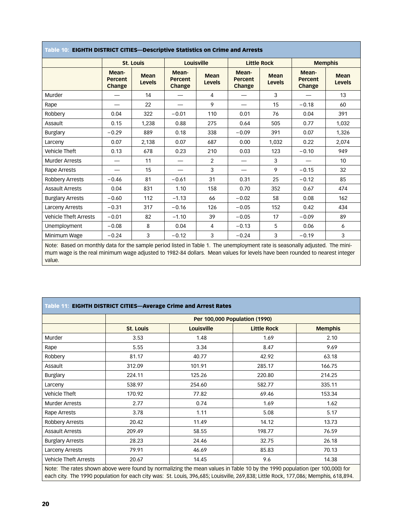| Table 10 EIGHTH DISTRICT CITIES-Descriptive Statistics on Crime and Arrests                                                  |                                                                                                        |                  |                              |                                   |                              |                                   |                              |                |  |  |
|------------------------------------------------------------------------------------------------------------------------------|--------------------------------------------------------------------------------------------------------|------------------|------------------------------|-----------------------------------|------------------------------|-----------------------------------|------------------------------|----------------|--|--|
|                                                                                                                              |                                                                                                        | <b>St. Louis</b> |                              | Louisville                        |                              | <b>Little Rock</b>                |                              | <b>Memphis</b> |  |  |
|                                                                                                                              | Mean-<br>Mean-<br><b>Mean</b><br><b>Percent</b><br><b>Percent</b><br><b>Levels</b><br>Change<br>Change |                  | <b>Mean</b><br><b>Levels</b> | Mean-<br><b>Percent</b><br>Change | <b>Mean</b><br><b>Levels</b> | Mean-<br><b>Percent</b><br>Change | <b>Mean</b><br><b>Levels</b> |                |  |  |
| Murder                                                                                                                       |                                                                                                        | 14               |                              | $\overline{4}$                    |                              | 3                                 |                              | 13             |  |  |
| Rape                                                                                                                         |                                                                                                        | 22               |                              | 9                                 | $\overline{\phantom{0}}$     | 15                                | $-0.18$                      | 60             |  |  |
| Robbery                                                                                                                      | 0.04                                                                                                   | 322              | $-0.01$                      | 110                               | 0.01                         | 76                                | 0.04                         | 391            |  |  |
| Assault                                                                                                                      | 0.15                                                                                                   | 1,238            | 0.88                         | 275                               | 0.64                         | 505                               | 0.77                         | 1,032          |  |  |
| <b>Burglary</b>                                                                                                              | $-0.29$                                                                                                | 889              | 0.18                         | 338                               | $-0.09$                      | 391                               | 0.07                         | 1,326          |  |  |
| Larcenv                                                                                                                      | 0.07                                                                                                   | 2.138            | 0.07                         | 687                               | 0.00                         | 1.032                             | 0.22                         | 2.074          |  |  |
| Vehicle Theft                                                                                                                | 0.13                                                                                                   | 678              | 0.23                         | 210                               | 0.03                         | 123                               | $-0.10$                      | 949            |  |  |
| <b>Murder Arrests</b>                                                                                                        |                                                                                                        | 11               |                              | $\overline{2}$                    |                              | 3                                 |                              | 10             |  |  |
| Rape Arrests                                                                                                                 |                                                                                                        | 15               |                              | 3                                 |                              | 9                                 | $-0.15$                      | 32             |  |  |
| <b>Robbery Arrests</b>                                                                                                       | $-0.46$                                                                                                | 81               | $-0.61$                      | 31                                | 0.31                         | 25                                | $-0.12$                      | 85             |  |  |
| <b>Assault Arrests</b>                                                                                                       | 0.04                                                                                                   | 831              | 1.10                         | 158                               | 0.70                         | 352                               | 0.67                         | 474            |  |  |
| <b>Burglary Arrests</b>                                                                                                      | $-0.60$                                                                                                | 112              | $-1.13$                      | 66                                | $-0.02$                      | 58                                | 0.08                         | 162            |  |  |
| <b>Larceny Arrests</b>                                                                                                       | $-0.31$                                                                                                | 317              | $-0.16$                      | 126                               | $-0.05$                      | 152                               | 0.42                         | 434            |  |  |
| <b>Vehicle Theft Arrests</b>                                                                                                 | $-0.01$                                                                                                | 82               | $-1.10$                      | 39                                | $-0.05$                      | 17                                | $-0.09$                      | 89             |  |  |
| Unemployment                                                                                                                 | $-0.08$                                                                                                | 8                | 0.04                         | 4                                 | $-0.13$                      | 5                                 | 0.06                         | 6              |  |  |
| 3<br>3<br>3<br>3<br>Minimum Wage<br>$-0.24$<br>$-0.12$<br>$-0.19$<br>$-0.24$                                                 |                                                                                                        |                  |                              |                                   |                              |                                   |                              |                |  |  |
| Note: Recod on monthly data for the cample period listed in Table 1. The unemployment rate is seasonally adjusted. The mini- |                                                                                                        |                  |                              |                                   |                              |                                   |                              |                |  |  |

Note: Based on monthly data for the sample period listed in Table 1. The unemployment rate is seasonally adjusted. The minimum wage is the real minimum wage adjusted to 1982-84 dollars. Mean values for levels have been rounded to nearest integer value.

| Table 11: EIGHTH DISTRICT CITIES-Average Crime and Arrest Rates |                  |                   |                                                                                                                            |                |  |  |  |  |  |  |
|-----------------------------------------------------------------|------------------|-------------------|----------------------------------------------------------------------------------------------------------------------------|----------------|--|--|--|--|--|--|
|                                                                 |                  |                   | Per 100,000 Population (1990)                                                                                              |                |  |  |  |  |  |  |
|                                                                 | <b>St. Louis</b> | <b>Louisville</b> | <b>Little Rock</b>                                                                                                         | <b>Memphis</b> |  |  |  |  |  |  |
| Murder                                                          | 3.53             | 1.48              | 1.69                                                                                                                       | 2.10           |  |  |  |  |  |  |
| Rape                                                            | 5.55             | 3.34              | 8.47                                                                                                                       | 9.69           |  |  |  |  |  |  |
| Robbery                                                         | 81.17            | 40.77             | 42.92                                                                                                                      | 63.18          |  |  |  |  |  |  |
| Assault                                                         | 312.09           | 101.91            | 285.17                                                                                                                     | 166.75         |  |  |  |  |  |  |
| <b>Burglary</b>                                                 | 224.11           | 125.26            | 220.80                                                                                                                     | 214.25         |  |  |  |  |  |  |
| Larceny                                                         | 538.97           | 254.60            | 582.77                                                                                                                     | 335.11         |  |  |  |  |  |  |
| Vehicle Theft                                                   | 170.92           | 77.82             | 69.46                                                                                                                      | 153.34         |  |  |  |  |  |  |
| <b>Murder Arrests</b>                                           | 2.77             | 0.74              | 1.69                                                                                                                       | 1.62           |  |  |  |  |  |  |
| Rape Arrests                                                    | 3.78             | 1.11              | 5.08                                                                                                                       | 5.17           |  |  |  |  |  |  |
| <b>Robbery Arrests</b>                                          | 20.42            | 11.49             | 14.12                                                                                                                      | 13.73          |  |  |  |  |  |  |
| <b>Assault Arrests</b>                                          | 209.49           | 58.55             | 198.77                                                                                                                     | 76.59          |  |  |  |  |  |  |
| <b>Burglary Arrests</b>                                         | 28.23            | 24.46             | 32.75                                                                                                                      | 26.18          |  |  |  |  |  |  |
| Larceny Arrests                                                 | 79.91            | 46.69             | 85.83                                                                                                                      | 70.13          |  |  |  |  |  |  |
| <b>Vehicle Theft Arrests</b>                                    | 20.67            | 14.45             | 9.6                                                                                                                        | 14.38          |  |  |  |  |  |  |
|                                                                 |                  |                   | Note: The rates shown above were found by normalizing the mean values in Table 10 by the 1990 population (per 100,000) for |                |  |  |  |  |  |  |

each city. The 1990 population for each city was: St. Louis, 396,685; Louisville, 269,838; Little Rock, 177,086; Memphis, 618,894.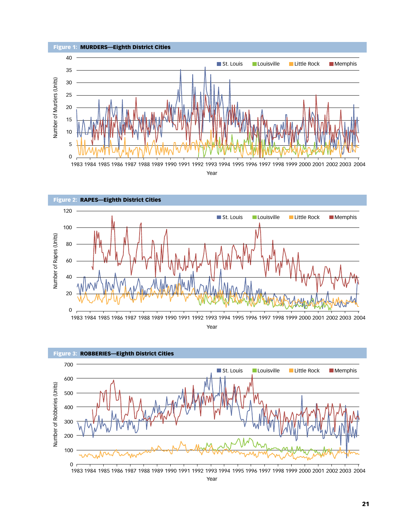





Year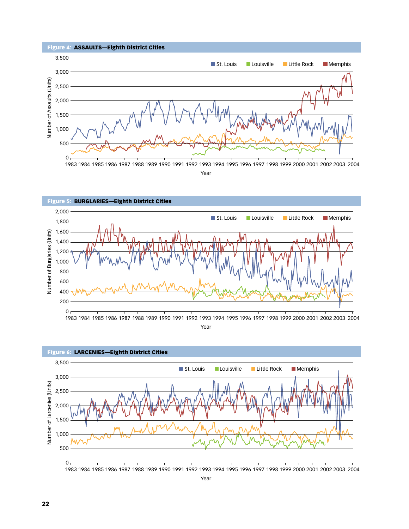

Year



Year





1983 1984 1985 1986 1987 1988 1989 1990 1991 1992 1993 1994 1995 1996 1997 1998 1999 2000 2001 2002 2003 2004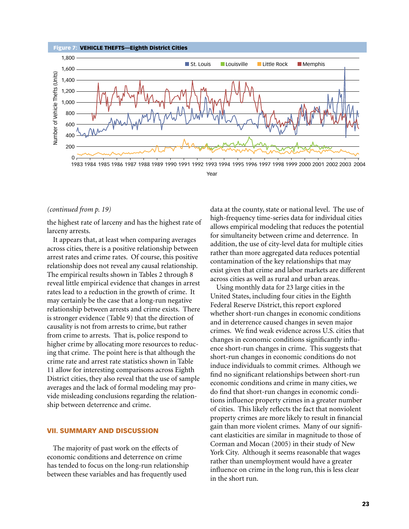

#### *(continued from p. 19)*

the highest rate of larceny and has the highest rate of larceny arrests.

It appears that, at least when comparing averages across cities, there is a positive relationship between arrest rates and crime rates. Of course, this positive relationship does not reveal any causal relationship. The empirical results shown in Tables 2 through 8 reveal little empirical evidence that changes in arrest rates lead to a reduction in the growth of crime. It may certainly be the case that a long-run negative relationship between arrests and crime exists. There is stronger evidence (Table 9) that the direction of causality is not from arrests to crime, but rather from crime to arrests. That is, police respond to higher crime by allocating more resources to reducing that crime. The point here is that although the crime rate and arrest rate statistics shown in Table 11 allow for interesting comparisons across Eighth District cities, they also reveal that the use of sample averages and the lack of formal modeling may provide misleading conclusions regarding the relationship between deterrence and crime.

#### VII. Summary and Discussion

The majority of past work on the effects of economic conditions and deterrence on crime has tended to focus on the long-run relationship between these variables and has frequently used

data at the county, state or national level. The use of high-frequency time-series data for individual cities allows empirical modeling that reduces the potential for simultaneity between crime and deterrence. In addition, the use of city-level data for multiple cities rather than more aggregated data reduces potential contamination of the key relationships that may exist given that crime and labor markets are different across cities as well as rural and urban areas.

Using monthly data for 23 large cities in the United States, including four cities in the Eighth Federal Reserve District, this report explored whether short-run changes in economic conditions and in deterrence caused changes in seven major crimes. We find weak evidence across U.S. cities that changes in economic conditions significantly influence short-run changes in crime. This suggests that short-run changes in economic conditions do not induce individuals to commit crimes. Although we find no significant relationships between short-run economic conditions and crime in many cities, we do find that short-run changes in economic conditions influence property crimes in a greater number of cities. This likely reflects the fact that nonviolent property crimes are more likely to result in financial gain than more violent crimes. Many of our significant elasticities are similar in magnitude to those of Corman and Mocan (2005) in their study of New York City. Although it seems reasonable that wages rather than unemployment would have a greater influence on crime in the long run, this is less clear in the short run.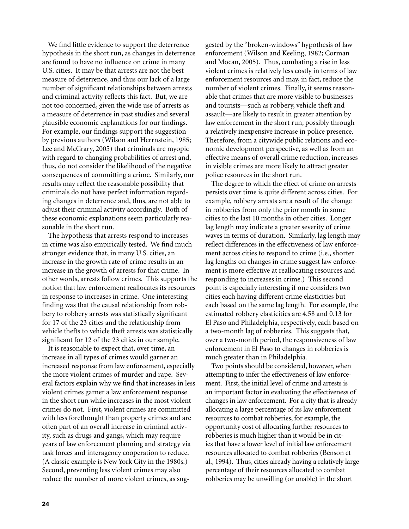We find little evidence to support the deterrence hypothesis in the short run, as changes in deterrence are found to have no influence on crime in many U.S. cities. It may be that arrests are not the best measure of deterrence, and thus our lack of a large number of significant relationships between arrests and criminal activity reflects this fact. But, we are not too concerned, given the wide use of arrests as a measure of deterrence in past studies and several plausible economic explanations for our findings. For example, our findings support the suggestion by previous authors (Wilson and Herrnstein, 1985; Lee and McCrary, 2005) that criminals are myopic with regard to changing probabilities of arrest and, thus, do not consider the likelihood of the negative consequences of committing a crime. Similarly, our results may reflect the reasonable possibility that criminals do not have perfect information regarding changes in deterrence and, thus, are not able to adjust their criminal activity accordingly. Both of these economic explanations seem particularly reasonable in the short run.

The hypothesis that arrests respond to increases in crime was also empirically tested. We find much stronger evidence that, in many U.S. cities, an increase in the growth rate of crime results in an increase in the growth of arrests for that crime. In other words, arrests follow crimes. This supports the notion that law enforcement reallocates its resources in response to increases in crime. One interesting finding was that the causal relationship from robbery to robbery arrests was statistically significant for 17 of the 23 cities and the relationship from vehicle thefts to vehicle theft arrests was statistically significant for 12 of the 23 cities in our sample.

It is reasonable to expect that, over time, an increase in all types of crimes would garner an increased response from law enforcement, especially the more violent crimes of murder and rape. Several factors explain why we find that increases in less violent crimes garner a law enforcement response in the short run while increases in the most violent crimes do not. First, violent crimes are committed with less forethought than property crimes and are often part of an overall increase in criminal activity, such as drugs and gangs, which may require years of law enforcement planning and strategy via task forces and interagency cooperation to reduce. (A classic example is New York City in the 1980s.) Second, preventing less violent crimes may also reduce the number of more violent crimes, as suggested by the "broken-windows" hypothesis of law enforcement (Wilson and Keeling, 1982; Corman and Mocan, 2005). Thus, combating a rise in less violent crimes is relatively less costly in terms of law enforcement resources and may, in fact, reduce the number of violent crimes. Finally, it seems reasonable that crimes that are more visible to businesses and tourists—such as robbery, vehicle theft and assault—are likely to result in greater attention by law enforcement in the short run, possibly through a relatively inexpensive increase in police presence. Therefore, from a citywide public relations and economic development perspective, as well as from an effective means of overall crime reduction, increases in visible crimes are more likely to attract greater police resources in the short run.

The degree to which the effect of crime on arrests persists over time is quite different across cities. For example, robbery arrests are a result of the change in robberies from only the prior month in some cities to the last 10 months in other cities. Longer lag length may indicate a greater severity of crime waves in terms of duration. Similarly, lag length may reflect differences in the effectiveness of law enforcement across cities to respond to crime (i.e., shorter lag lengths on changes in crime suggest law enforcement is more effective at reallocating resources and responding to increases in crime.) This second point is especially interesting if one considers two cities each having different crime elasticities but each based on the same lag length. For example, the estimated robbery elasticities are 4.58 and 0.13 for El Paso and Philadelphia, respectively, each based on a two-month lag of robberies. This suggests that, over a two-month period, the responsiveness of law enforcement in El Paso to changes in robberies is much greater than in Philadelphia.

Two points should be considered, however, when attempting to infer the effectiveness of law enforcement. First, the initial level of crime and arrests is an important factor in evaluating the effectiveness of changes in law enforcement. For a city that is already allocating a large percentage of its law enforcement resources to combat robberies, for example, the opportunity cost of allocating further resources to robberies is much higher than it would be in cities that have a lower level of initial law enforcement resources allocated to combat robberies (Benson et al., 1994). Thus, cities already having a relatively large percentage of their resources allocated to combat robberies may be unwilling (or unable) in the short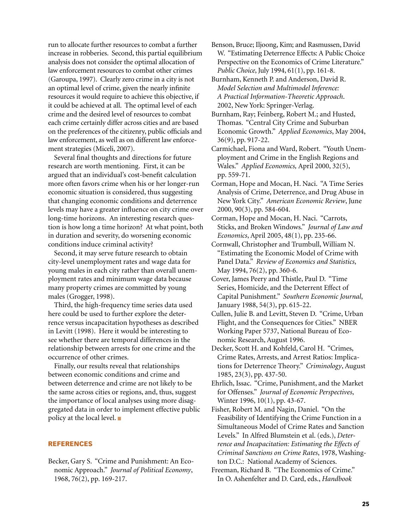run to allocate further resources to combat a further increase in robberies. Second, this partial equilibrium analysis does not consider the optimal allocation of law enforcement resources to combat other crimes (Garoupa, 1997). Clearly zero crime in a city is not an optimal level of crime, given the nearly infinite resources it would require to achieve this objective, if it could be achieved at all. The optimal level of each crime and the desired level of resources to combat each crime certainly differ across cities and are based on the preferences of the citizenry, public officials and law enforcement, as well as on different law enforcement strategies (Miceli, 2007).

Several final thoughts and directions for future research are worth mentioning. First, it can be argued that an individual's cost-benefit calculation more often favors crime when his or her longer-run economic situation is considered, thus suggesting that changing economic conditions and deterrence levels may have a greater influence on city crime over long-time horizons. An interesting research question is how long a time horizon? At what point, both in duration and severity, do worsening economic conditions induce criminal activity?

Second, it may serve future research to obtain city-level unemployment rates and wage data for young males in each city rather than overall unemployment rates and minimum wage data because many property crimes are committed by young males (Grogger, 1998).

Third, the high-frequency time series data used here could be used to further explore the deterrence versus incapacitation hypotheses as described in Levitt (1998). Here it would be interesting to see whether there are temporal differences in the relationship between arrests for one crime and the occurrence of other crimes.

Finally, our results reveal that relationships between economic conditions and crime and between deterrence and crime are not likely to be the same across cities or regions, and, thus, suggest the importance of local analyses using more disaggregated data in order to implement effective public policy at the local level.

#### **REFERENCES**

Becker, Gary S. "Crime and Punishment: An Economic Approach." *Journal of Political Economy*, 1968, 76(2), pp. 169-217.

- Benson, Bruce; Iljoong, Kim; and Rasmussen, David W. "Estimating Deterrence Effects: A Public Choice Perspective on the Economics of Crime Literature." *Public Choice*, July 1994, 61(1), pp. 161-8.
- Burnham, Kenneth P. and Anderson, David R. *Model Selection and Multimodel Inference: A Practical Information-Theoretic Approach*. 2002, New York: Springer-Verlag.
- Burnham, Ray; Feinberg, Robert M.; and Husted, Thomas. "Central City Crime and Suburban Economic Growth." *Applied Economics*, May 2004, 36(9), pp. 917-22.
- Carmichael, Fiona and Ward, Robert. "Youth Unemployment and Crime in the English Regions and Wales." *Applied Economics,* April 2000, 32(5), pp. 559-71.
- Corman, Hope and Mocan, H. Naci. "A Time Series Analysis of Crime, Deterrence, and Drug Abuse in New York City." *American Economic Review*, June 2000, 90(3), pp. 584-604.
- Corman, Hope and Mocan, H. Naci. "Carrots, Sticks, and Broken Windows." *Journal of Law and Economics*, April 2005, 48(1), pp. 235-66.
- Cornwall, Christopher and Trumbull, William N. "Estimating the Economic Model of Crime with Panel Data." *Review of Economics and Statistics*, May 1994, 76(2), pp. 360-6.
- Cover, James Peery and Thistle, Paul D. "Time Series, Homicide, and the Deterrent Effect of Capital Punishment." *Southern Economic Journal*, January 1988, 54(3), pp. 615-22.
- Cullen, Julie B. and Levitt, Steven D. "Crime, Urban Flight, and the Consequences for Cities." NBER Working Paper 5737, National Bureau of Economic Research, August 1996.
- Decker, Scott H. and Kohfeld, Carol H. "Crimes, Crime Rates, Arrests, and Arrest Ratios: Implications for Deterrence Theory." *Criminology*, August 1985, 23(3), pp. 437-50.

Ehrlich, Issac. "Crime, Punishment, and the Market for Offenses." *Journal of Economic Perspectives*, Winter 1996, 10(1), pp. 43-67.

- Fisher, Robert M. and Nagin, Daniel. "On the Feasibility of Identifying the Crime Function in a Simultaneous Model of Crime Rates and Sanction Levels." In Alfred Blumstein et al. (eds.), *Deterrence and Incapacitation: Estimating the Effects of Criminal Sanctions on Crime Rates*, 1978, Washington D.C.: National Academy of Sciences.
- Freeman, Richard B. "The Economics of Crime." In O. Ashenfelter and D. Card, eds., *Handbook*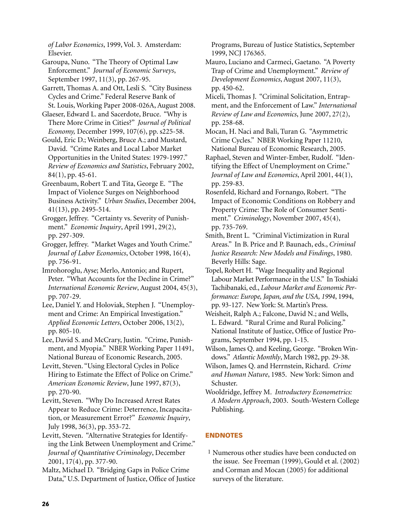*of Labor Economics*, 1999, Vol. 3. Amsterdam: Elsevier.

Garoupa, Nuno. "The Theory of Optimal Law Enforcement." *Journal of Economic Surveys*, September 1997, 11(3), pp. 267-95.

Garrett, Thomas A. and Ott, Lesli S. "City Business Cycles and Crime." Federal Reserve Bank of St. Louis, Working Paper 2008-026A, August 2008.

Glaeser, Edward L. and Sacerdote, Bruce. "Why is There More Crime in Cities?" *Journal of Political Economy,* December 1999, 107(6), pp. s225-58.

Gould, Eric D.; Weinberg, Bruce A.; and Mustard, David. "Crime Rates and Local Labor Market Opportunities in the United States: 1979-1997." *Review of Economics and Statistics*, February 2002, 84(1), pp. 45-61.

Greenbaum, Robert T. and Tita, George E. "The Impact of Violence Surges on Neighborhood Business Activity." *Urban Studies*, December 2004, 41(13), pp. 2495-514.

Grogger, Jeffrey. "Certainty vs. Severity of Punishment." *Economic Inquiry*, April 1991, 29(2), pp. 297-309.

Grogger, Jeffrey. "Market Wages and Youth Crime." *Journal of Labor Economics*, October 1998, 16(4), pp. 756-91.

Imrohoroglu, Ayse; Merlo, Antonio; and Rupert, Peter. "What Accounts for the Decline in Crime?" *International Economic Review*, August 2004, 45(3), pp. 707-29.

Lee, Daniel Y. and Holoviak, Stephen J. "Unemployment and Crime: An Empirical Investigation." *Applied Economic Letters*, October 2006, 13(2), pp. 805-10.

Lee, David S. and McCrary, Justin. "Crime, Punishment, and Myopia." NBER Working Paper 11491, National Bureau of Economic Research, 2005.

Levitt, Steven. "Using Electoral Cycles in Police Hiring to Estimate the Effect of Police on Crime." *American Economic Review*, June 1997, 87(3), pp. 270-90.

Levitt, Steven. "Why Do Increased Arrest Rates Appear to Reduce Crime: Deterrence, Incapacitation, or Measurement Error?" *Economic Inquiry*, July 1998, 36(3), pp. 353-72.

Levitt, Steven. "Alternative Strategies for Identifying the Link Between Unemployment and Crime." *Journal of Quantitative Criminology*, December 2001, 17(4), pp. 377-90.

Maltz, Michael D. "Bridging Gaps in Police Crime Data," U.S. Department of Justice, Office of Justice Programs, Bureau of Justice Statistics, September 1999, NCJ 176365.

Mauro, Luciano and Carmeci, Gaetano. "A Poverty Trap of Crime and Unemployment." *Review of Development Economics*, August 2007, 11(3), pp. 450-62.

Miceli, Thomas J. "Criminal Solicitation, Entrapment, and the Enforcement of Law." *International Review of Law and Economics*, June 2007, 27(2), pp. 258-68.

Mocan, H. Naci and Bali, Turan G. "Asymmetric Crime Cycles." NBER Working Paper 11210, National Bureau of Economic Research, 2005.

Raphael, Steven and Winter-Ember, Rudolf. "Identifying the Effect of Unemployment on Crime." *Journal of Law and Economics*, April 2001, 44(1), pp. 259-83.

Rosenfeld, Richard and Fornango, Robert. "The Impact of Economic Conditions on Robbery and Property Crime: The Role of Consumer Sentiment." *Criminology*, November 2007, 45(4), pp. 735-769.

Smith, Brent L. "Criminal Victimization in Rural Areas." In B. Price and P. Baunach, eds., *Criminal Justice Research: New Models and Findings*, 1980. Beverly Hills: Sage.

Topel, Robert H. "Wage Inequality and Regional Labour Market Performance in the U.S." In Toshiaki Tachibanaki, ed., *Labour Market and Economic Performance: Europe, Japan, and the USA, 1994*, 1994, pp. 93-127. New York: St. Martin's Press.

Weisheit, Ralph A.; Falcone, David N.; and Wells, L. Edward. "Rural Crime and Rural Policing." National Institute of Justice, Office of Justice Programs, September 1994, pp. 1-15.

Wilson, James Q. and Keeling, George. "Broken Windows." *Atlantic Monthly*, March 1982, pp. 29-38.

Wilson, James Q. and Herrnstein, Richard. *Crime and Human Nature*, 1985. New York: Simon and Schuster.

Wooldridge, Jeffrey M. *Introductory Econometrics: A Modern Approach*, 2003. South-Western College Publishing.

### **ENDNOTES**

1 Numerous other studies have been conducted on the issue. See Freeman (1999), Gould et al. (2002) and Corman and Mocan (2005) for additional surveys of the literature.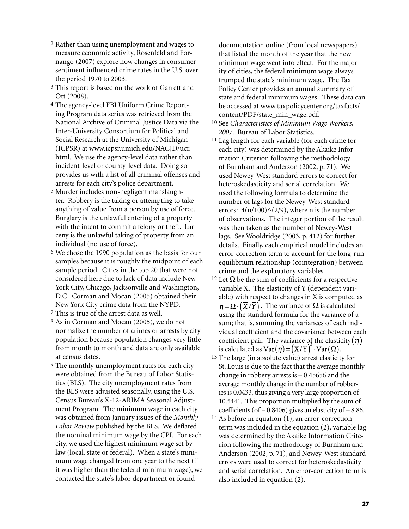- 2 Rather than using unemployment and wages to measure economic activity, Rosenfeld and Fornango (2007) explore how changes in consumer sentiment influenced crime rates in the U.S. over the period 1970 to 2003.
- 3 This report is based on the work of Garrett and Ott (2008).
- 4 The agency-level FBI Uniform Crime Reporting Program data series was retrieved from the National Archive of Criminal Justice Data via the Inter-University Consortium for Political and Social Research at the University of Michigan (ICPSR) at www.icpsr.umich.edu/NACJD/ucr. html. We use the agency-level data rather than incident-level or county-level data. Doing so provides us with a list of all criminal offenses and arrests for each city's police department.
- 5 Murder includes non-negligent manslaughter. Robbery is the taking or attempting to take anything of value from a person by use of force. Burglary is the unlawful entering of a property with the intent to commit a felony or theft. Larceny is the unlawful taking of property from an individual (no use of force).
- 6 We chose the 1990 population as the basis for our samples because it is roughly the midpoint of each sample period. Cities in the top 20 that were not considered here due to lack of data include New York City, Chicago, Jacksonville and Washington, D.C. Corman and Mocan (2005) obtained their New York City crime data from the NYPD.

7 This is true of the arrest data as well.

- 8 As in Corman and Mocan (2005), we do not normalize the number of crimes or arrests by city population because population changes very little from month to month and data are only available at census dates.
- 9 The monthly unemployment rates for each city were obtained from the Bureau of Labor Statistics (BLS). The city unemployment rates from the BLS were adjusted seasonally, using the U.S. Census Bureau's X-12-ARIMA Seasonal Adjustment Program. The minimum wage in each city was obtained from January issues of the *Monthly Labor Review* published by the BLS. We deflated the nominal minimum wage by the CPI. For each city, we used the highest minimum wage set by law (local, state or federal). When a state's minimum wage changed from one year to the next (if it was higher than the federal minimum wage), we contacted the state's labor department or found

documentation online (from local newspapers) that listed the month of the year that the new minimum wage went into effect. For the majority of cities, the federal minimum wage always trumped the state's minimum wage. The Tax Policy Center provides an annual summary of state and federal minimum wages. These data can be accessed at www.taxpolicycenter.org/taxfacts/ content/PDF/state\_min\_wage.pdf.

- 10 See *Characteristics of Minimum Wage Workers, 2007*. Bureau of Labor Statistics.
- 11 Lag length for each variable (for each crime for each city) was determined by the Akaike Information Criterion following the methodology of Burnham and Anderson (2002, p. 71). We used Newey-West standard errors to correct for heteroskedasticity and serial correlation. We used the following formula to determine the number of lags for the Newey-West standard errors:  $4(n/100) \wedge (2/9)$ , where n is the number of observations. The integer portion of the result was then taken as the number of Newey-West lags. See Wooldridge (2003, p. 412) for further details. Finally, each empirical model includes an error-correction term to account for the long-run equilibrium relationship (cointegration) between crime and the explanatory variables.
- <sup>12</sup> Let  $\Omega$  be the sum of coefficients for a respective variable X. The elasticity of Y (dependent variable) with respect to changes in X is computed as  $\eta = \Omega \cdot |(\overline{X}/\overline{Y})|$ . The variance of  $\Omega$  is calculated using the standard formula for the variance of a sum; that is, summing the variances of each individual coefficient and the covariance between each coefficient pair. The variance of the elasticity  $(\eta)$ is calculated as  $\text{Var}(\eta) = (\overline{X}/\overline{Y})^2 \cdot \text{Var}(\Omega)$ .
- 13 The large (in absolute value) arrest elasticity for St. Louis is due to the fact that the average monthly change in robbery arrests is – 0.45656 and the average monthly change in the number of robberies is 0.0433, thus giving a very large proportion of 10.5441. This proportion multiplied by the sum of coefficients (of  $-0.8406$ ) gives an elasticity of  $-8.86$ .
- 14 As before in equation (1), an error-correction term was included in the equation (2), variable lag was determined by the Akaike Information Criterion following the methodology of Burnham and Anderson (2002, p. 71), and Newey-West standard errors were used to correct for heteroskedasticity and serial correlation. An error-correction term is also included in equation (2).